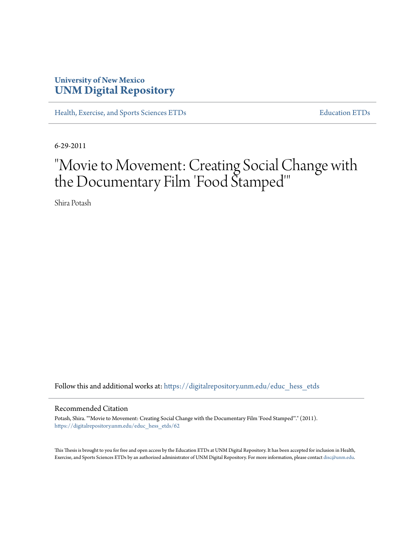## **University of New Mexico [UNM Digital Repository](https://digitalrepository.unm.edu?utm_source=digitalrepository.unm.edu%2Feduc_hess_etds%2F62&utm_medium=PDF&utm_campaign=PDFCoverPages)**

[Health, Exercise, and Sports Sciences ETDs](https://digitalrepository.unm.edu/educ_hess_etds?utm_source=digitalrepository.unm.edu%2Feduc_hess_etds%2F62&utm_medium=PDF&utm_campaign=PDFCoverPages) [Education ETDs](https://digitalrepository.unm.edu/educ_etds?utm_source=digitalrepository.unm.edu%2Feduc_hess_etds%2F62&utm_medium=PDF&utm_campaign=PDFCoverPages)

6-29-2011

# "Movie to Movement: Creating Social Change with the Documentary Film 'Food Stamped'"

Shira Potash

Follow this and additional works at: [https://digitalrepository.unm.edu/educ\\_hess\\_etds](https://digitalrepository.unm.edu/educ_hess_etds?utm_source=digitalrepository.unm.edu%2Feduc_hess_etds%2F62&utm_medium=PDF&utm_campaign=PDFCoverPages)

#### Recommended Citation

Potash, Shira. ""Movie to Movement: Creating Social Change with the Documentary Film 'Food Stamped'"." (2011). [https://digitalrepository.unm.edu/educ\\_hess\\_etds/62](https://digitalrepository.unm.edu/educ_hess_etds/62?utm_source=digitalrepository.unm.edu%2Feduc_hess_etds%2F62&utm_medium=PDF&utm_campaign=PDFCoverPages)

This Thesis is brought to you for free and open access by the Education ETDs at UNM Digital Repository. It has been accepted for inclusion in Health, Exercise, and Sports Sciences ETDs by an authorized administrator of UNM Digital Repository. For more information, please contact [disc@unm.edu.](mailto:disc@unm.edu)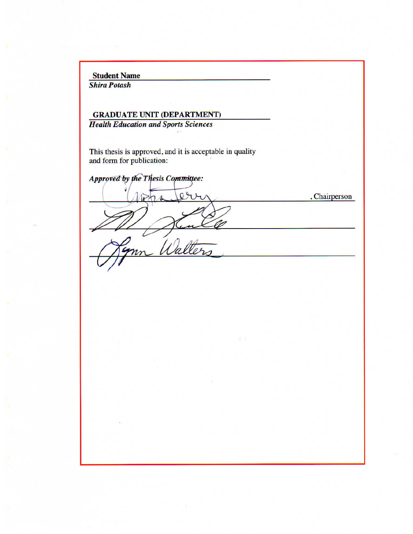**Student Name** 

**Shira Potash** 

## **GRADUATE UNIT (DEPARTMENT) Health Education and Sports Sciences**

This thesis is approved, and it is acceptable in quality and form for publication:

Approved by the Thesis Committee:  $\overline{Q}$ , Chairperson Walter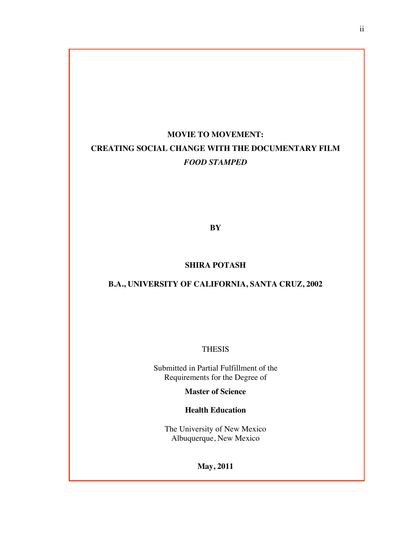## **MOVIE TO MOVEMENT: CREATING SOCIAL CHANGE WITH THE DOCUMENTARY FILM** *FOOD STAMPED*

**BY**

#### **SHIRA POTASH**

## **B.A., UNIVERSITY OF CALIFORNIA, SANTA CRUZ, 2002**

#### THESIS

Submitted in Partial Fulfillment of the Requirements for the Degree of

**Master of Science**

**Health Education**

The University of New Mexico Albuquerque, New Mexico

**May, 2011**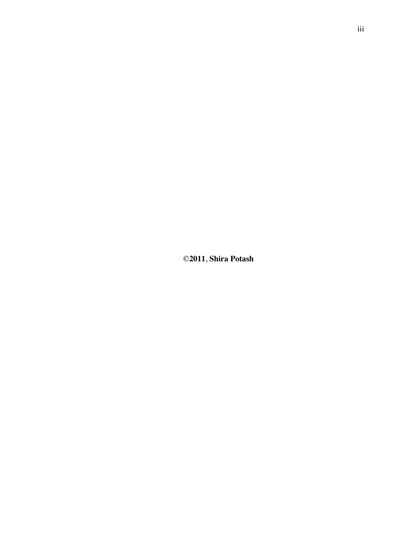©**2011**, **Shira Potash**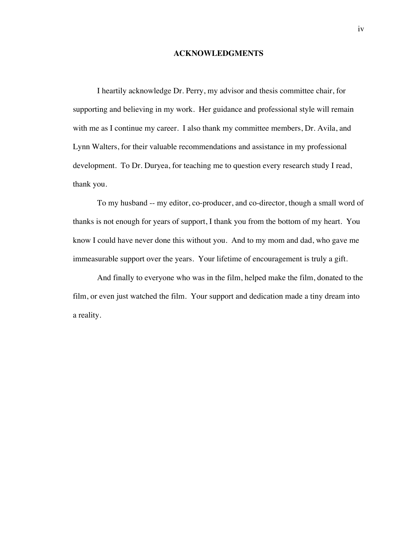#### **ACKNOWLEDGMENTS**

I heartily acknowledge Dr. Perry, my advisor and thesis committee chair, for supporting and believing in my work. Her guidance and professional style will remain with me as I continue my career. I also thank my committee members, Dr. Avila, and Lynn Walters, for their valuable recommendations and assistance in my professional development. To Dr. Duryea, for teaching me to question every research study I read, thank you.

To my husband -- my editor, co-producer, and co-director, though a small word of thanks is not enough for years of support, I thank you from the bottom of my heart. You know I could have never done this without you. And to my mom and dad, who gave me immeasurable support over the years. Your lifetime of encouragement is truly a gift.

And finally to everyone who was in the film, helped make the film, donated to the film, or even just watched the film. Your support and dedication made a tiny dream into a reality.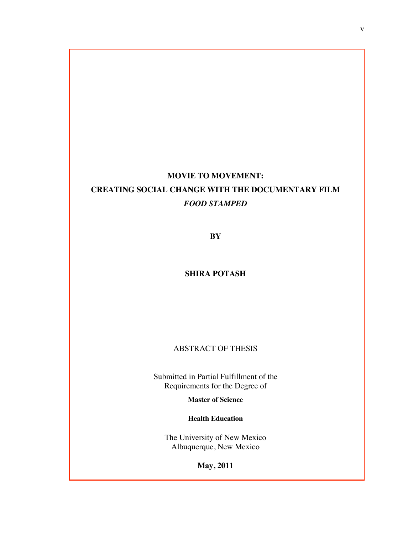## **MOVIE TO MOVEMENT: CREATING SOCIAL CHANGE WITH THE DOCUMENTARY FILM** *FOOD STAMPED*

**BY**

### **SHIRA POTASH**

## ABSTRACT OF THESIS

Submitted in Partial Fulfillment of the Requirements for the Degree of

**Master of Science**

**Health Education**

The University of New Mexico Albuquerque, New Mexico

**May, 2011**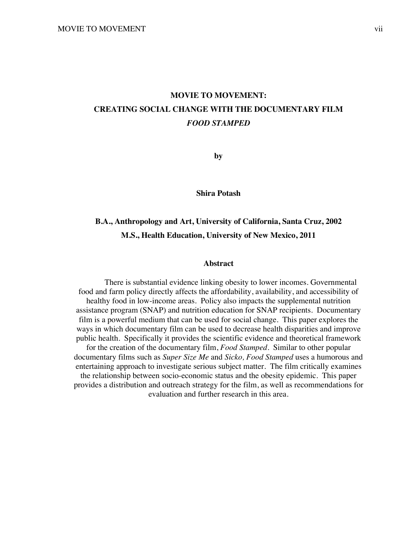## **MOVIE TO MOVEMENT: CREATING SOCIAL CHANGE WITH THE DOCUMENTARY FILM** *FOOD STAMPED*

**by**

**Shira Potash**

## **B.A., Anthropology and Art, University of California, Santa Cruz, 2002 M.S., Health Education, University of New Mexico, 2011**

#### **Abstract**

There is substantial evidence linking obesity to lower incomes. Governmental food and farm policy directly affects the affordability, availability, and accessibility of healthy food in low-income areas. Policy also impacts the supplemental nutrition assistance program (SNAP) and nutrition education for SNAP recipients. Documentary film is a powerful medium that can be used for social change. This paper explores the ways in which documentary film can be used to decrease health disparities and improve public health. Specifically it provides the scientific evidence and theoretical framework for the creation of the documentary film, *Food Stamped.* Similar to other popular documentary films such as *Super Size Me* and *Sicko, Food Stamped* uses a humorous and entertaining approach to investigate serious subject matter. The film critically examines the relationship between socio-economic status and the obesity epidemic. This paper provides a distribution and outreach strategy for the film, as well as recommendations for evaluation and further research in this area.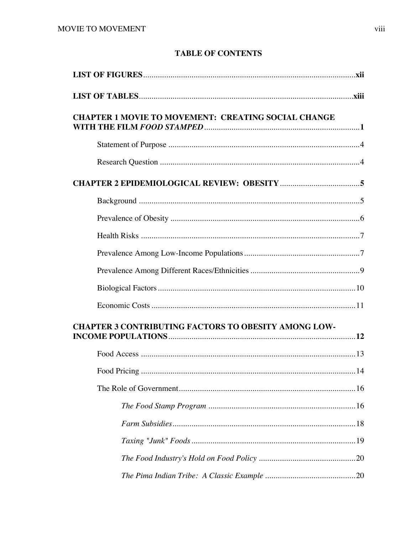## **TABLE OF CONTENTS**

| <b>CHAPTER 1 MOVIE TO MOVEMENT: CREATING SOCIAL CHANGE</b>  |  |
|-------------------------------------------------------------|--|
|                                                             |  |
|                                                             |  |
|                                                             |  |
|                                                             |  |
|                                                             |  |
|                                                             |  |
|                                                             |  |
|                                                             |  |
|                                                             |  |
|                                                             |  |
| <b>CHAPTER 3 CONTRIBUTING FACTORS TO OBESITY AMONG LOW-</b> |  |
|                                                             |  |
| . 14                                                        |  |
|                                                             |  |
|                                                             |  |
|                                                             |  |
|                                                             |  |
|                                                             |  |
|                                                             |  |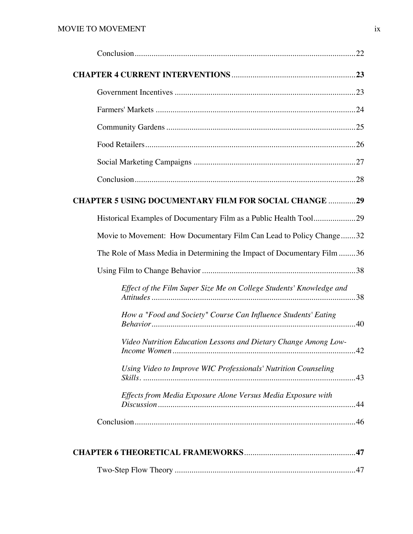| <b>CHAPTER 5 USING DOCUMENTARY FILM FOR SOCIAL CHANGE 29</b>            |
|-------------------------------------------------------------------------|
| Historical Examples of Documentary Film as a Public Health Tool29       |
| Movie to Movement: How Documentary Film Can Lead to Policy Change32     |
| The Role of Mass Media in Determining the Impact of Documentary Film 36 |
|                                                                         |
| Effect of the Film Super Size Me on College Students' Knowledge and     |
| How a "Food and Society" Course Can Influence Students' Eating          |
| Video Nutrition Education Lessons and Dietary Change Among Low-         |
| Using Video to Improve WIC Professionals' Nutrition Counseling          |
| Effects from Media Exposure Alone Versus Media Exposure with            |
|                                                                         |
|                                                                         |
|                                                                         |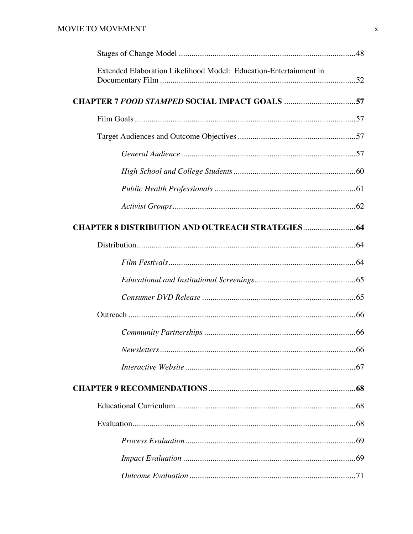| Extended Elaboration Likelihood Model: Education-Entertainment in |  |
|-------------------------------------------------------------------|--|
|                                                                   |  |
|                                                                   |  |
|                                                                   |  |
|                                                                   |  |
|                                                                   |  |
|                                                                   |  |
|                                                                   |  |
|                                                                   |  |
|                                                                   |  |
|                                                                   |  |
|                                                                   |  |
|                                                                   |  |
|                                                                   |  |
|                                                                   |  |
|                                                                   |  |
|                                                                   |  |
|                                                                   |  |
|                                                                   |  |
|                                                                   |  |
|                                                                   |  |
|                                                                   |  |
|                                                                   |  |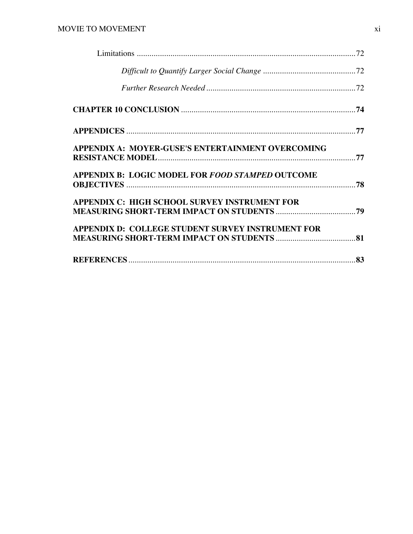| <b>APPENDIX A: MOYER-GUSE'S ENTERTAINMENT OVERCOMING</b> |  |
|----------------------------------------------------------|--|
| <b>APPENDIX B: LOGIC MODEL FOR FOOD STAMPED OUTCOME</b>  |  |
| APPENDIX C: HIGH SCHOOL SURVEY INSTRUMENT FOR            |  |
| <b>APPENDIX D: COLLEGE STUDENT SURVEY INSTRUMENT FOR</b> |  |
|                                                          |  |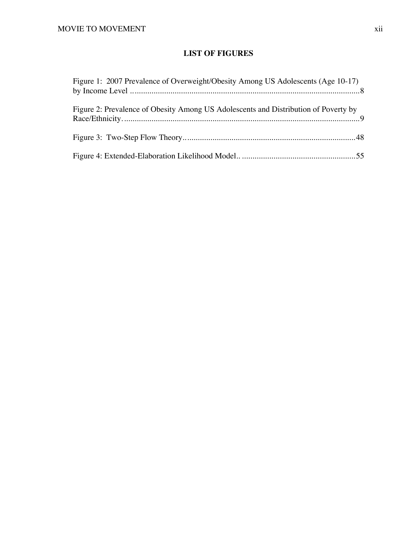## **LIST OF FIGURES**

| Figure 1: 2007 Prevalence of Overweight/Obesity Among US Adolescents (Age 10-17)    |
|-------------------------------------------------------------------------------------|
| Figure 2: Prevalence of Obesity Among US Adolescents and Distribution of Poverty by |
|                                                                                     |
|                                                                                     |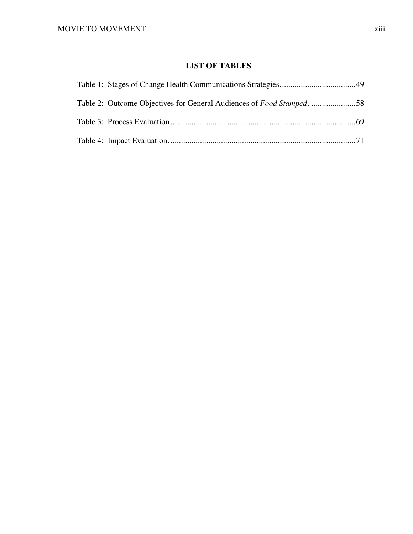## **LIST OF TABLES**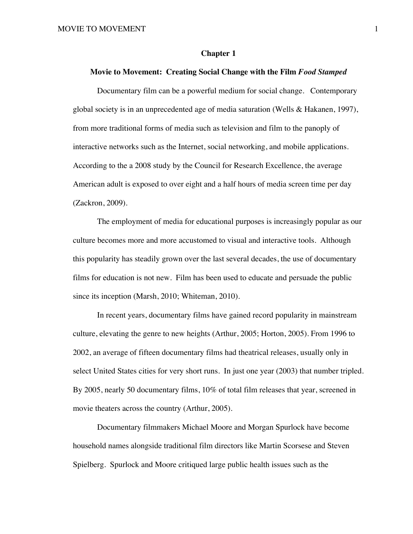#### **Chapter 1**

#### **Movie to Movement: Creating Social Change with the Film** *Food Stamped*

Documentary film can be a powerful medium for social change. Contemporary global society is in an unprecedented age of media saturation (Wells & Hakanen, 1997), from more traditional forms of media such as television and film to the panoply of interactive networks such as the Internet, social networking, and mobile applications. According to the a 2008 study by the Council for Research Excellence, the average American adult is exposed to over eight and a half hours of media screen time per day (Zackron, 2009).

The employment of media for educational purposes is increasingly popular as our culture becomes more and more accustomed to visual and interactive tools. Although this popularity has steadily grown over the last several decades, the use of documentary films for education is not new. Film has been used to educate and persuade the public since its inception (Marsh, 2010; Whiteman, 2010).

In recent years, documentary films have gained record popularity in mainstream culture, elevating the genre to new heights (Arthur, 2005; Horton, 2005). From 1996 to 2002, an average of fifteen documentary films had theatrical releases, usually only in select United States cities for very short runs. In just one year (2003) that number tripled. By 2005, nearly 50 documentary films, 10% of total film releases that year, screened in movie theaters across the country (Arthur, 2005).

Documentary filmmakers Michael Moore and Morgan Spurlock have become household names alongside traditional film directors like Martin Scorsese and Steven Spielberg. Spurlock and Moore critiqued large public health issues such as the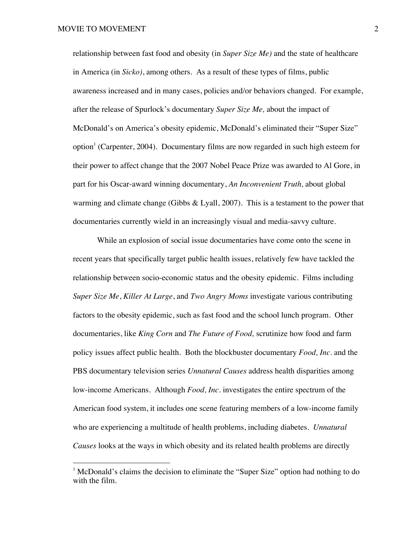relationship between fast food and obesity (in *Super Size Me)* and the state of healthcare in America (in *Sicko)*, among others. As a result of these types of films, public awareness increased and in many cases, policies and/or behaviors changed. For example, after the release of Spurlock's documentary *Super Size Me,* about the impact of McDonald's on America's obesity epidemic, McDonald's eliminated their "Super Size" option<sup>1</sup> (Carpenter, 2004). Documentary films are now regarded in such high esteem for their power to affect change that the 2007 Nobel Peace Prize was awarded to Al Gore, in part for his Oscar-award winning documentary, *An Inconvenient Truth,* about global warming and climate change (Gibbs  $&$  Lyall, 2007). This is a testament to the power that documentaries currently wield in an increasingly visual and media-savvy culture.

While an explosion of social issue documentaries have come onto the scene in recent years that specifically target public health issues, relatively few have tackled the relationship between socio-economic status and the obesity epidemic. Films including *Super Size Me*, *Killer At Large*, and *Two Angry Moms* investigate various contributing factors to the obesity epidemic, such as fast food and the school lunch program. Other documentaries, like *King Corn* and *The Future of Food,* scrutinize how food and farm policy issues affect public health. Both the blockbuster documentary *Food, Inc*. and the PBS documentary television series *Unnatural Causes* address health disparities among low-income Americans. Although *Food, Inc.* investigates the entire spectrum of the American food system, it includes one scene featuring members of a low-income family who are experiencing a multitude of health problems, including diabetes. *Unnatural Causes* looks at the ways in which obesity and its related health problems are directly

<sup>|&</sup>lt;br>|<br>|  $<sup>1</sup>$  McDonald's claims the decision to eliminate the "Super Size" option had nothing to do</sup> with the film.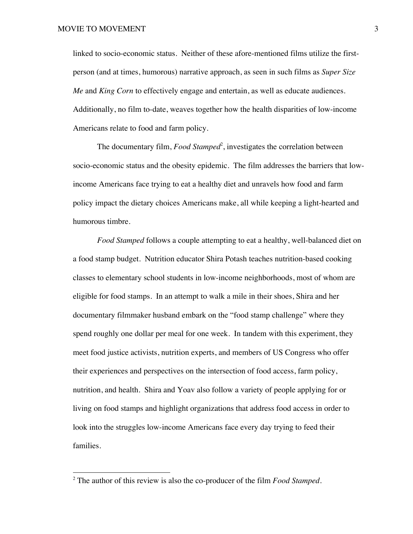linked to socio-economic status. Neither of these afore-mentioned films utilize the firstperson (and at times, humorous) narrative approach, as seen in such films as *Super Size Me* and *King Corn* to effectively engage and entertain, as well as educate audiences. Additionally, no film to-date, weaves together how the health disparities of low-income Americans relate to food and farm policy.

The documentary film, *Food Stamped*<sup>2</sup>, investigates the correlation between socio-economic status and the obesity epidemic. The film addresses the barriers that lowincome Americans face trying to eat a healthy diet and unravels how food and farm policy impact the dietary choices Americans make, all while keeping a light-hearted and humorous timbre.

*Food Stamped* follows a couple attempting to eat a healthy, well-balanced diet on a food stamp budget. Nutrition educator Shira Potash teaches nutrition-based cooking classes to elementary school students in low-income neighborhoods, most of whom are eligible for food stamps. In an attempt to walk a mile in their shoes, Shira and her documentary filmmaker husband embark on the "food stamp challenge" where they spend roughly one dollar per meal for one week. In tandem with this experiment, they meet food justice activists, nutrition experts, and members of US Congress who offer their experiences and perspectives on the intersection of food access, farm policy, nutrition, and health. Shira and Yoav also follow a variety of people applying for or living on food stamps and highlight organizations that address food access in order to look into the struggles low-income Americans face every day trying to feed their families.

 $\frac{1}{2}$ The author of this review is also the co-producer of the film *Food Stamped.*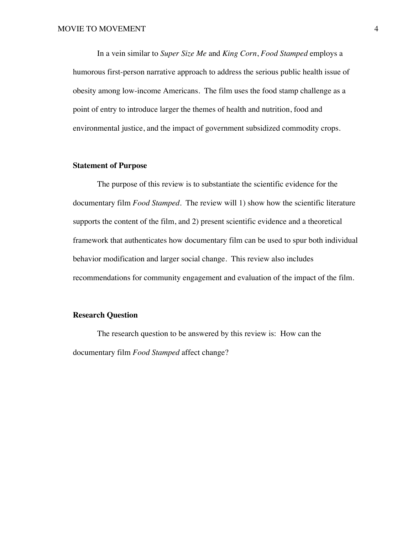In a vein similar to *Super Size Me* and *King Corn*, *Food Stamped* employs a humorous first-person narrative approach to address the serious public health issue of obesity among low-income Americans. The film uses the food stamp challenge as a point of entry to introduce larger the themes of health and nutrition, food and environmental justice, and the impact of government subsidized commodity crops.

#### **Statement of Purpose**

The purpose of this review is to substantiate the scientific evidence for the documentary film *Food Stamped*. The review will 1) show how the scientific literature supports the content of the film, and 2) present scientific evidence and a theoretical framework that authenticates how documentary film can be used to spur both individual behavior modification and larger social change. This review also includes recommendations for community engagement and evaluation of the impact of the film.

#### **Research Question**

The research question to be answered by this review is: How can the documentary film *Food Stamped* affect change?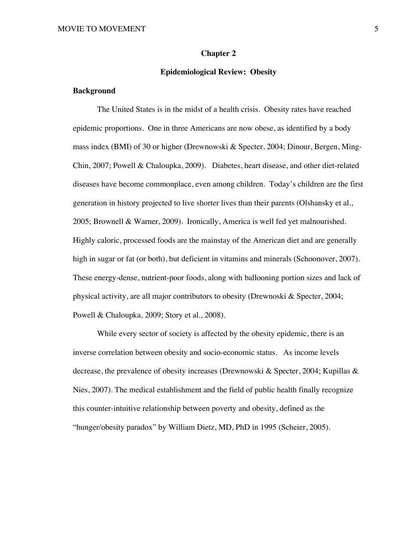#### **Chapter 2**

#### **Epidemiological Review: Obesity**

#### **Background**

The United States is in the midst of a health crisis. Obesity rates have reached epidemic proportions. One in three Americans are now obese, as identified by a body mass index (BMI) of 30 or higher (Drewnowski & Specter, 2004; Dinour, Bergen, Ming-Chin, 2007; Powell & Chaloupka, 2009). Diabetes, heart disease, and other diet-related diseases have become commonplace, even among children. Today's children are the first generation in history projected to live shorter lives than their parents (Olshansky et al., 2005; Brownell & Warner, 2009). Ironically, America is well fed yet malnourished. Highly caloric, processed foods are the mainstay of the American diet and are generally high in sugar or fat (or both), but deficient in vitamins and minerals (Schoonover, 2007). These energy-dense, nutrient-poor foods, along with ballooning portion sizes and lack of physical activity, are all major contributors to obesity (Drewnoski & Specter, 2004; Powell & Chaloupka, 2009; Story et al., 2008).

While every sector of society is affected by the obesity epidemic, there is an inverse correlation between obesity and socio-economic status. As income levels decrease, the prevalence of obesity increases (Drewnowski & Specter, 2004; Kupillas & Nies, 2007). The medical establishment and the field of public health finally recognize this counter-intuitive relationship between poverty and obesity, defined as the "hunger/obesity paradox" by William Dietz, MD, PhD in 1995 (Scheier, 2005).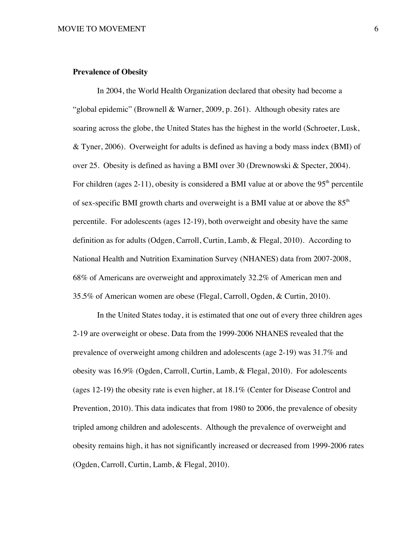#### **Prevalence of Obesity**

In 2004, the World Health Organization declared that obesity had become a "global epidemic" (Brownell & Warner, 2009, p. 261). Although obesity rates are soaring across the globe, the United States has the highest in the world (Schroeter, Lusk, & Tyner, 2006). Overweight for adults is defined as having a body mass index (BMI) of over 25. Obesity is defined as having a BMI over 30 (Drewnowski & Specter, 2004). For children (ages 2-11), obesity is considered a BMI value at or above the  $95<sup>th</sup>$  percentile of sex-specific BMI growth charts and overweight is a BMI value at or above the  $85<sup>th</sup>$ percentile. For adolescents (ages 12-19), both overweight and obesity have the same definition as for adults (Odgen, Carroll, Curtin, Lamb, & Flegal, 2010). According to National Health and Nutrition Examination Survey (NHANES) data from 2007-2008, 68% of Americans are overweight and approximately 32.2% of American men and 35.5% of American women are obese (Flegal, Carroll, Ogden, & Curtin, 2010).

In the United States today, it is estimated that one out of every three children ages 2-19 are overweight or obese. Data from the 1999-2006 NHANES revealed that the prevalence of overweight among children and adolescents (age 2-19) was 31.7% and obesity was 16.9% (Ogden, Carroll, Curtin, Lamb, & Flegal, 2010). For adolescents (ages 12-19) the obesity rate is even higher, at 18.1% (Center for Disease Control and Prevention, 2010). This data indicates that from 1980 to 2006, the prevalence of obesity tripled among children and adolescents. Although the prevalence of overweight and obesity remains high, it has not significantly increased or decreased from 1999-2006 rates (Ogden, Carroll, Curtin, Lamb, & Flegal, 2010).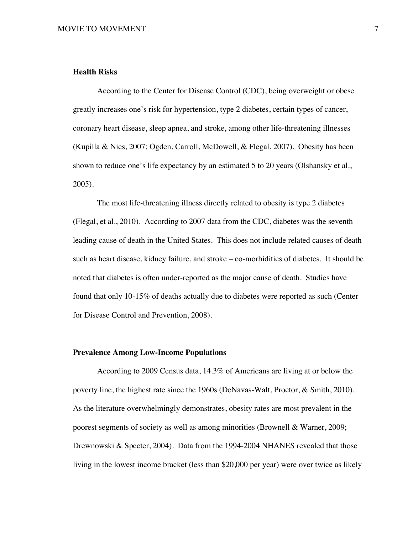#### **Health Risks**

According to the Center for Disease Control (CDC), being overweight or obese greatly increases one's risk for hypertension, type 2 diabetes, certain types of cancer, coronary heart disease, sleep apnea, and stroke, among other life-threatening illnesses (Kupilla & Nies, 2007; Ogden, Carroll, McDowell, & Flegal, 2007). Obesity has been shown to reduce one's life expectancy by an estimated 5 to 20 years (Olshansky et al., 2005).

The most life-threatening illness directly related to obesity is type 2 diabetes (Flegal, et al., 2010). According to 2007 data from the CDC, diabetes was the seventh leading cause of death in the United States. This does not include related causes of death such as heart disease, kidney failure, and stroke – co-morbidities of diabetes. It should be noted that diabetes is often under-reported as the major cause of death. Studies have found that only 10-15% of deaths actually due to diabetes were reported as such (Center for Disease Control and Prevention, 2008).

#### **Prevalence Among Low-Income Populations**

According to 2009 Census data, 14.3% of Americans are living at or below the poverty line, the highest rate since the 1960s (DeNavas-Walt, Proctor, & Smith, 2010). As the literature overwhelmingly demonstrates, obesity rates are most prevalent in the poorest segments of society as well as among minorities (Brownell & Warner, 2009; Drewnowski & Specter, 2004). Data from the 1994-2004 NHANES revealed that those living in the lowest income bracket (less than \$20,000 per year) were over twice as likely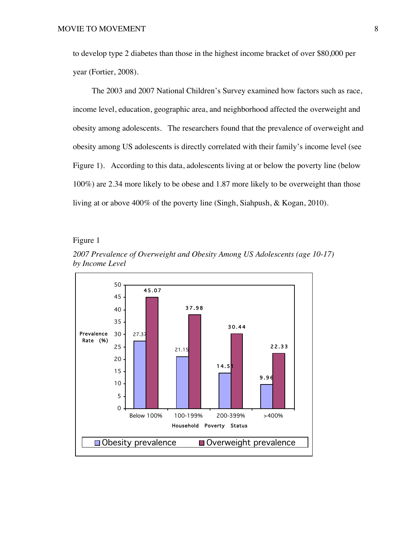to develop type 2 diabetes than those in the highest income bracket of over \$80,000 per year (Fortier, 2008).

The 2003 and 2007 National Children's Survey examined how factors such as race, income level, education, geographic area, and neighborhood affected the overweight and obesity among adolescents. The researchers found that the prevalence of overweight and obesity among US adolescents is directly correlated with their family's income level (see Figure 1). According to this data, adolescents living at or below the poverty line (below 100%) are 2.34 more likely to be obese and 1.87 more likely to be overweight than those living at or above 400% of the poverty line (Singh, Siahpush, & Kogan, 2010).

Figure 1



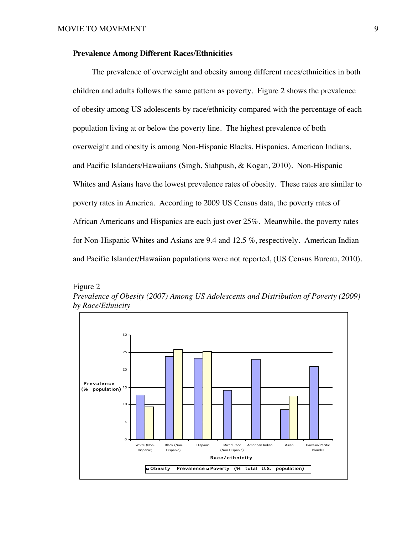#### **Prevalence Among Different Races/Ethnicities**

The prevalence of overweight and obesity among different races/ethnicities in both children and adults follows the same pattern as poverty. Figure 2 shows the prevalence of obesity among US adolescents by race/ethnicity compared with the percentage of each population living at or below the poverty line. The highest prevalence of both overweight and obesity is among Non-Hispanic Blacks, Hispanics, American Indians, and Pacific Islanders/Hawaiians (Singh, Siahpush, & Kogan, 2010). Non-Hispanic Whites and Asians have the lowest prevalence rates of obesity. These rates are similar to poverty rates in America. According to 2009 US Census data, the poverty rates of African Americans and Hispanics are each just over 25%. Meanwhile, the poverty rates for Non-Hispanic Whites and Asians are 9.4 and 12.5 %, respectively. American Indian and Pacific Islander/Hawaiian populations were not reported, (US Census Bureau, 2010).



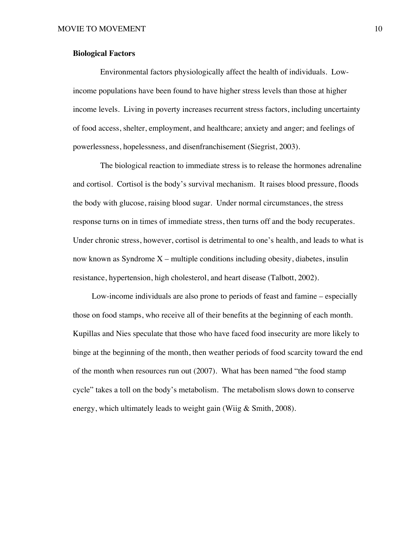#### **Biological Factors**

Environmental factors physiologically affect the health of individuals. Lowincome populations have been found to have higher stress levels than those at higher income levels. Living in poverty increases recurrent stress factors, including uncertainty of food access, shelter, employment, and healthcare; anxiety and anger; and feelings of powerlessness, hopelessness, and disenfranchisement (Siegrist, 2003).

The biological reaction to immediate stress is to release the hormones adrenaline and cortisol. Cortisol is the body's survival mechanism. It raises blood pressure, floods the body with glucose, raising blood sugar. Under normal circumstances, the stress response turns on in times of immediate stress, then turns off and the body recuperates. Under chronic stress, however, cortisol is detrimental to one's health, and leads to what is now known as Syndrome  $X$  – multiple conditions including obesity, diabetes, insulin resistance, hypertension, high cholesterol, and heart disease (Talbott, 2002).

Low-income individuals are also prone to periods of feast and famine – especially those on food stamps, who receive all of their benefits at the beginning of each month. Kupillas and Nies speculate that those who have faced food insecurity are more likely to binge at the beginning of the month, then weather periods of food scarcity toward the end of the month when resources run out (2007). What has been named "the food stamp cycle" takes a toll on the body's metabolism. The metabolism slows down to conserve energy, which ultimately leads to weight gain (Wiig & Smith, 2008).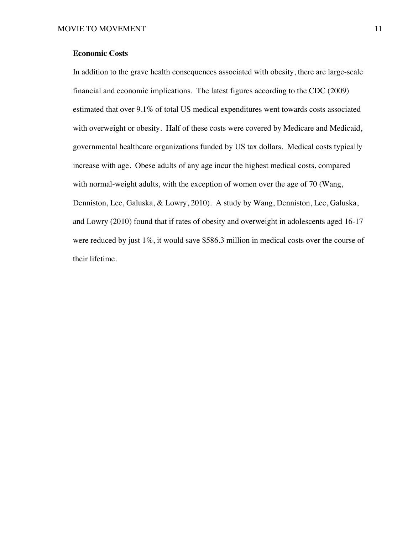#### **Economic Costs**

In addition to the grave health consequences associated with obesity, there are large-scale financial and economic implications. The latest figures according to the CDC (2009) estimated that over 9.1% of total US medical expenditures went towards costs associated with overweight or obesity. Half of these costs were covered by Medicare and Medicaid, governmental healthcare organizations funded by US tax dollars. Medical costs typically increase with age. Obese adults of any age incur the highest medical costs, compared with normal-weight adults, with the exception of women over the age of 70 (Wang, Denniston, Lee, Galuska, & Lowry, 2010). A study by Wang, Denniston, Lee, Galuska, and Lowry (2010) found that if rates of obesity and overweight in adolescents aged 16-17 were reduced by just  $1\%$ , it would save \$586.3 million in medical costs over the course of their lifetime.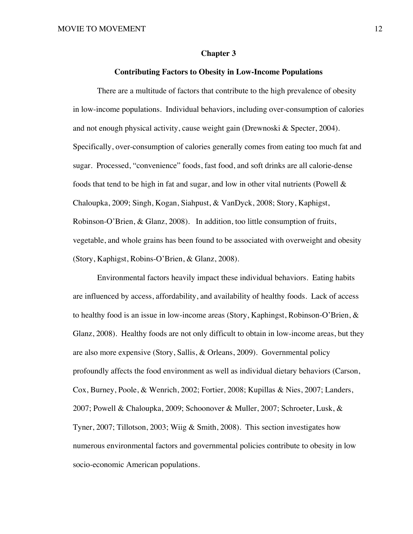#### **Chapter 3**

#### **Contributing Factors to Obesity in Low-Income Populations**

There are a multitude of factors that contribute to the high prevalence of obesity in low-income populations. Individual behaviors, including over-consumption of calories and not enough physical activity, cause weight gain (Drewnoski & Specter, 2004). Specifically, over-consumption of calories generally comes from eating too much fat and sugar. Processed, "convenience" foods, fast food, and soft drinks are all calorie-dense foods that tend to be high in fat and sugar, and low in other vital nutrients (Powell  $\&$ Chaloupka, 2009; Singh, Kogan, Siahpust, & VanDyck, 2008; Story, Kaphigst, Robinson-O'Brien, & Glanz, 2008). In addition, too little consumption of fruits, vegetable, and whole grains has been found to be associated with overweight and obesity (Story, Kaphigst, Robins-O'Brien, & Glanz, 2008).

Environmental factors heavily impact these individual behaviors. Eating habits are influenced by access, affordability, and availability of healthy foods. Lack of access to healthy food is an issue in low-income areas (Story, Kaphingst, Robinson-O'Brien, & Glanz, 2008). Healthy foods are not only difficult to obtain in low-income areas, but they are also more expensive (Story, Sallis, & Orleans, 2009). Governmental policy profoundly affects the food environment as well as individual dietary behaviors (Carson, Cox, Burney, Poole, & Wenrich, 2002; Fortier, 2008; Kupillas & Nies, 2007; Landers, 2007; Powell & Chaloupka, 2009; Schoonover & Muller, 2007; Schroeter, Lusk, & Tyner, 2007; Tillotson, 2003; Wiig & Smith, 2008). This section investigates how numerous environmental factors and governmental policies contribute to obesity in low socio-economic American populations.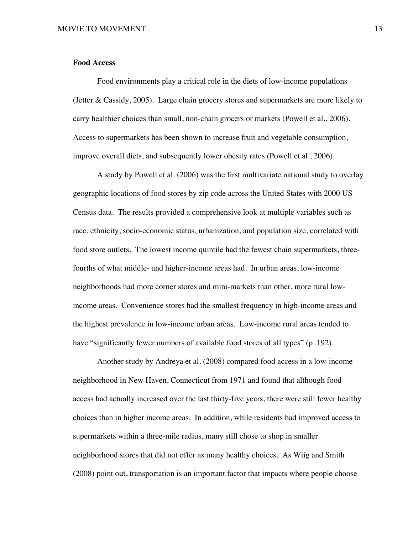#### **Food Access**

Food environments play a critical role in the diets of low-income populations (Jetter & Cassidy, 2005). Large chain grocery stores and supermarkets are more likely to carry healthier choices than small, non-chain grocers or markets (Powell et al., 2006). Access to supermarkets has been shown to increase fruit and vegetable consumption, improve overall diets, and subsequently lower obesity rates (Powell et al., 2006).

A study by Powell et al. (2006) was the first multivariate national study to overlay geographic locations of food stores by zip code across the United States with 2000 US Census data. The results provided a comprehensive look at multiple variables such as race, ethnicity, socio-economic status, urbanization, and population size, correlated with food store outlets. The lowest income quintile had the fewest chain supermarkets, threefourths of what middle- and higher-income areas had. In urban areas, low-income neighborhoods had more corner stores and mini-markets than other, more rural lowincome areas. Convenience stores had the smallest frequency in high-income areas and the highest prevalence in low-income urban areas. Low-income rural areas tended to have "significantly fewer numbers of available food stores of all types" (p. 192).

Another study by Andreya et al. (2008) compared food access in a low-income neighborhood in New Haven, Connecticut from 1971 and found that although food access had actually increased over the last thirty-five years, there were still fewer healthy choices than in higher income areas. In addition, while residents had improved access to supermarkets within a three-mile radius, many still chose to shop in smaller neighborhood stores that did not offer as many healthy choices. As Wiig and Smith (2008) point out, transportation is an important factor that impacts where people choose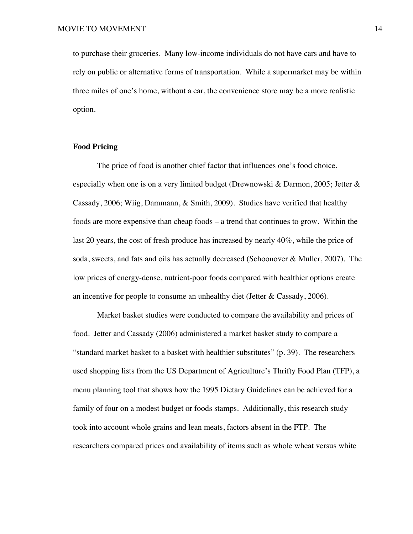to purchase their groceries. Many low-income individuals do not have cars and have to rely on public or alternative forms of transportation. While a supermarket may be within three miles of one's home, without a car, the convenience store may be a more realistic option.

#### **Food Pricing**

The price of food is another chief factor that influences one's food choice, especially when one is on a very limited budget (Drewnowski & Darmon, 2005; Jetter & Cassady, 2006; Wiig, Dammann, & Smith, 2009). Studies have verified that healthy foods are more expensive than cheap foods – a trend that continues to grow. Within the last 20 years, the cost of fresh produce has increased by nearly 40%, while the price of soda, sweets, and fats and oils has actually decreased (Schoonover & Muller, 2007). The low prices of energy-dense, nutrient-poor foods compared with healthier options create an incentive for people to consume an unhealthy diet (Jetter & Cassady, 2006).

Market basket studies were conducted to compare the availability and prices of food. Jetter and Cassady (2006) administered a market basket study to compare a "standard market basket to a basket with healthier substitutes" (p. 39). The researchers used shopping lists from the US Department of Agriculture's Thrifty Food Plan (TFP), a menu planning tool that shows how the 1995 Dietary Guidelines can be achieved for a family of four on a modest budget or foods stamps. Additionally, this research study took into account whole grains and lean meats, factors absent in the FTP. The researchers compared prices and availability of items such as whole wheat versus white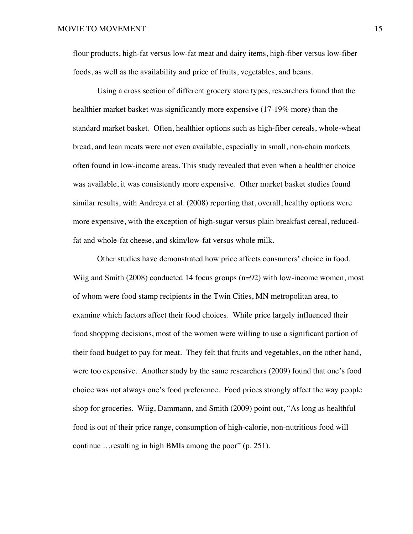flour products, high-fat versus low-fat meat and dairy items, high-fiber versus low-fiber foods, as well as the availability and price of fruits, vegetables, and beans.

Using a cross section of different grocery store types, researchers found that the healthier market basket was significantly more expensive (17-19% more) than the standard market basket. Often, healthier options such as high-fiber cereals, whole-wheat bread, and lean meats were not even available, especially in small, non-chain markets often found in low-income areas. This study revealed that even when a healthier choice was available, it was consistently more expensive. Other market basket studies found similar results, with Andreya et al. (2008) reporting that, overall, healthy options were more expensive, with the exception of high-sugar versus plain breakfast cereal, reducedfat and whole-fat cheese, and skim/low-fat versus whole milk.

Other studies have demonstrated how price affects consumers' choice in food. Wiig and Smith (2008) conducted 14 focus groups (n=92) with low-income women, most of whom were food stamp recipients in the Twin Cities, MN metropolitan area, to examine which factors affect their food choices. While price largely influenced their food shopping decisions, most of the women were willing to use a significant portion of their food budget to pay for meat. They felt that fruits and vegetables, on the other hand, were too expensive. Another study by the same researchers (2009) found that one's food choice was not always one's food preference. Food prices strongly affect the way people shop for groceries. Wiig, Dammann, and Smith (2009) point out, "As long as healthful food is out of their price range, consumption of high-calorie, non-nutritious food will continue …resulting in high BMIs among the poor" (p. 251).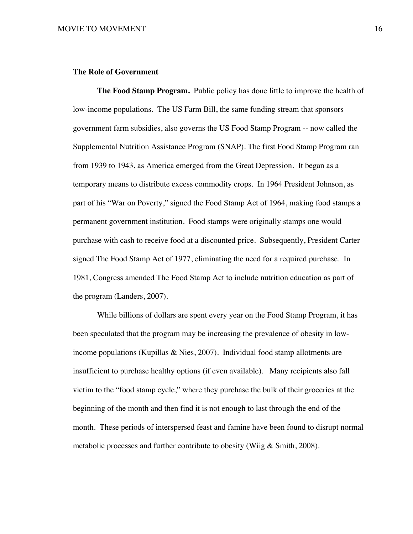#### **The Role of Government**

**The Food Stamp Program.** Public policy has done little to improve the health of low-income populations. The US Farm Bill, the same funding stream that sponsors government farm subsidies, also governs the US Food Stamp Program -- now called the Supplemental Nutrition Assistance Program (SNAP). The first Food Stamp Program ran from 1939 to 1943, as America emerged from the Great Depression. It began as a temporary means to distribute excess commodity crops. In 1964 President Johnson, as part of his "War on Poverty," signed the Food Stamp Act of 1964, making food stamps a permanent government institution. Food stamps were originally stamps one would purchase with cash to receive food at a discounted price. Subsequently, President Carter signed The Food Stamp Act of 1977, eliminating the need for a required purchase. In 1981, Congress amended The Food Stamp Act to include nutrition education as part of the program (Landers, 2007).

While billions of dollars are spent every year on the Food Stamp Program, it has been speculated that the program may be increasing the prevalence of obesity in lowincome populations (Kupillas & Nies, 2007). Individual food stamp allotments are insufficient to purchase healthy options (if even available). Many recipients also fall victim to the "food stamp cycle," where they purchase the bulk of their groceries at the beginning of the month and then find it is not enough to last through the end of the month. These periods of interspersed feast and famine have been found to disrupt normal metabolic processes and further contribute to obesity (Wiig & Smith, 2008).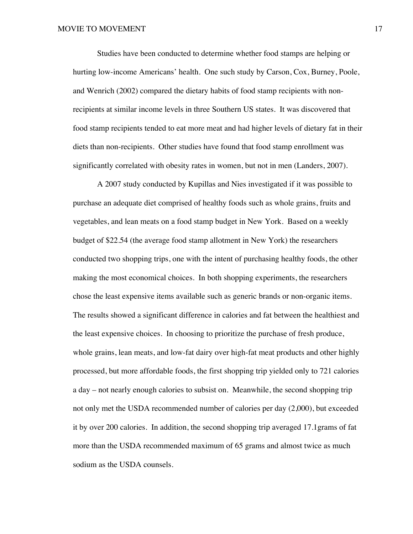Studies have been conducted to determine whether food stamps are helping or hurting low-income Americans' health. One such study by Carson, Cox, Burney, Poole, and Wenrich (2002) compared the dietary habits of food stamp recipients with nonrecipients at similar income levels in three Southern US states. It was discovered that food stamp recipients tended to eat more meat and had higher levels of dietary fat in their diets than non-recipients. Other studies have found that food stamp enrollment was significantly correlated with obesity rates in women, but not in men (Landers, 2007).

A 2007 study conducted by Kupillas and Nies investigated if it was possible to purchase an adequate diet comprised of healthy foods such as whole grains, fruits and vegetables, and lean meats on a food stamp budget in New York. Based on a weekly budget of \$22.54 (the average food stamp allotment in New York) the researchers conducted two shopping trips, one with the intent of purchasing healthy foods, the other making the most economical choices. In both shopping experiments, the researchers chose the least expensive items available such as generic brands or non-organic items. The results showed a significant difference in calories and fat between the healthiest and the least expensive choices. In choosing to prioritize the purchase of fresh produce, whole grains, lean meats, and low-fat dairy over high-fat meat products and other highly processed, but more affordable foods, the first shopping trip yielded only to 721 calories a day – not nearly enough calories to subsist on. Meanwhile, the second shopping trip not only met the USDA recommended number of calories per day (2,000), but exceeded it by over 200 calories. In addition, the second shopping trip averaged 17.1grams of fat more than the USDA recommended maximum of 65 grams and almost twice as much sodium as the USDA counsels.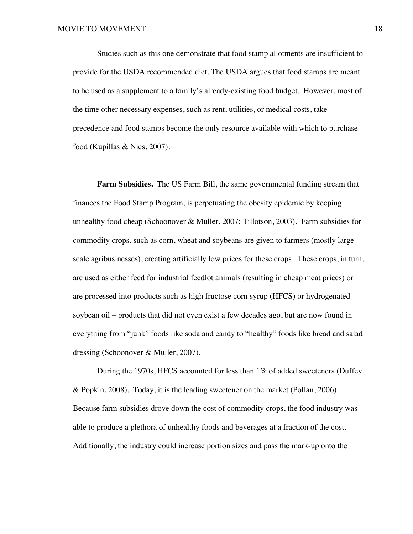Studies such as this one demonstrate that food stamp allotments are insufficient to provide for the USDA recommended diet. The USDA argues that food stamps are meant to be used as a supplement to a family's already-existing food budget. However, most of the time other necessary expenses, such as rent, utilities, or medical costs, take precedence and food stamps become the only resource available with which to purchase food (Kupillas & Nies, 2007).

**Farm Subsidies.** The US Farm Bill, the same governmental funding stream that finances the Food Stamp Program, is perpetuating the obesity epidemic by keeping unhealthy food cheap (Schoonover & Muller, 2007; Tillotson, 2003). Farm subsidies for commodity crops, such as corn, wheat and soybeans are given to farmers (mostly largescale agribusinesses), creating artificially low prices for these crops. These crops, in turn, are used as either feed for industrial feedlot animals (resulting in cheap meat prices) or are processed into products such as high fructose corn syrup (HFCS) or hydrogenated soybean oil – products that did not even exist a few decades ago, but are now found in everything from "junk" foods like soda and candy to "healthy" foods like bread and salad dressing (Schoonover & Muller, 2007).

During the 1970s, HFCS accounted for less than 1% of added sweeteners (Duffey & Popkin, 2008). Today, it is the leading sweetener on the market (Pollan, 2006). Because farm subsidies drove down the cost of commodity crops, the food industry was able to produce a plethora of unhealthy foods and beverages at a fraction of the cost. Additionally, the industry could increase portion sizes and pass the mark-up onto the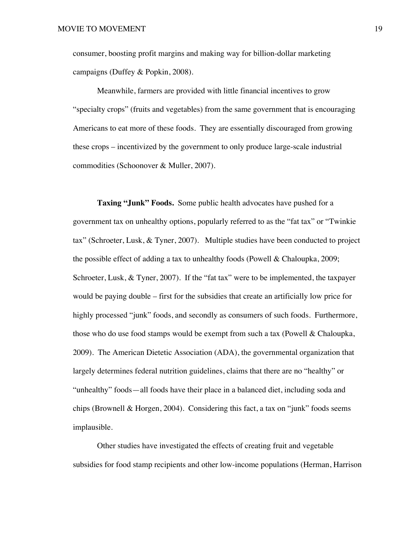consumer, boosting profit margins and making way for billion-dollar marketing campaigns (Duffey & Popkin, 2008).

Meanwhile, farmers are provided with little financial incentives to grow "specialty crops" (fruits and vegetables) from the same government that is encouraging Americans to eat more of these foods. They are essentially discouraged from growing these crops – incentivized by the government to only produce large-scale industrial commodities (Schoonover & Muller, 2007).

**Taxing "Junk" Foods.** Some public health advocates have pushed for a government tax on unhealthy options, popularly referred to as the "fat tax" or "Twinkie tax" (Schroeter, Lusk, & Tyner, 2007). Multiple studies have been conducted to project the possible effect of adding a tax to unhealthy foods (Powell & Chaloupka, 2009; Schroeter, Lusk, & Tyner, 2007). If the "fat tax" were to be implemented, the taxpayer would be paying double – first for the subsidies that create an artificially low price for highly processed "junk" foods, and secondly as consumers of such foods. Furthermore, those who do use food stamps would be exempt from such a tax (Powell & Chaloupka, 2009). The American Dietetic Association (ADA), the governmental organization that largely determines federal nutrition guidelines, claims that there are no "healthy" or "unhealthy" foods—all foods have their place in a balanced diet, including soda and chips (Brownell & Horgen, 2004). Considering this fact, a tax on "junk" foods seems implausible.

Other studies have investigated the effects of creating fruit and vegetable subsidies for food stamp recipients and other low-income populations (Herman, Harrison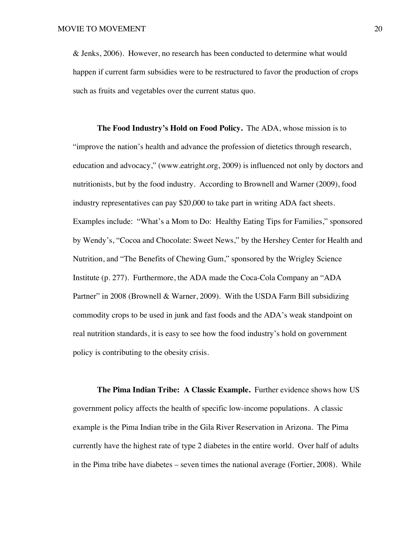& Jenks, 2006). However, no research has been conducted to determine what would happen if current farm subsidies were to be restructured to favor the production of crops such as fruits and vegetables over the current status quo.

**The Food Industry's Hold on Food Policy.** The ADA, whose mission is to "improve the nation's health and advance the profession of dietetics through research, education and advocacy," (www.eatright.org, 2009) is influenced not only by doctors and nutritionists, but by the food industry. According to Brownell and Warner (2009), food industry representatives can pay \$20,000 to take part in writing ADA fact sheets. Examples include: "What's a Mom to Do: Healthy Eating Tips for Families," sponsored by Wendy's, "Cocoa and Chocolate: Sweet News," by the Hershey Center for Health and Nutrition, and "The Benefits of Chewing Gum," sponsored by the Wrigley Science Institute (p. 277). Furthermore, the ADA made the Coca-Cola Company an "ADA Partner" in 2008 (Brownell & Warner, 2009). With the USDA Farm Bill subsidizing commodity crops to be used in junk and fast foods and the ADA's weak standpoint on real nutrition standards, it is easy to see how the food industry's hold on government policy is contributing to the obesity crisis.

**The Pima Indian Tribe: A Classic Example.** Further evidence shows how US government policy affects the health of specific low-income populations. A classic example is the Pima Indian tribe in the Gila River Reservation in Arizona. The Pima currently have the highest rate of type 2 diabetes in the entire world. Over half of adults in the Pima tribe have diabetes – seven times the national average (Fortier, 2008). While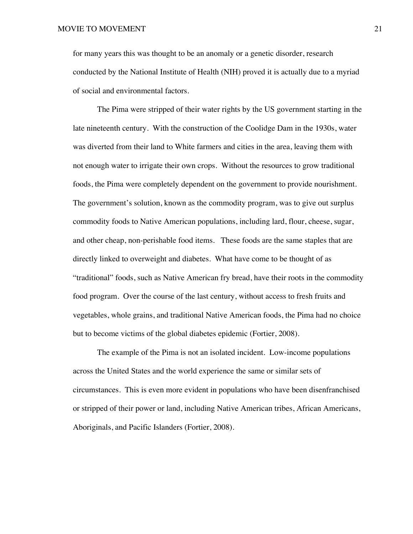for many years this was thought to be an anomaly or a genetic disorder, research conducted by the National Institute of Health (NIH) proved it is actually due to a myriad of social and environmental factors.

The Pima were stripped of their water rights by the US government starting in the late nineteenth century. With the construction of the Coolidge Dam in the 1930s, water was diverted from their land to White farmers and cities in the area, leaving them with not enough water to irrigate their own crops. Without the resources to grow traditional foods, the Pima were completely dependent on the government to provide nourishment. The government's solution, known as the commodity program, was to give out surplus commodity foods to Native American populations, including lard, flour, cheese, sugar, and other cheap, non-perishable food items. These foods are the same staples that are directly linked to overweight and diabetes. What have come to be thought of as "traditional" foods, such as Native American fry bread, have their roots in the commodity food program. Over the course of the last century, without access to fresh fruits and vegetables, whole grains, and traditional Native American foods, the Pima had no choice but to become victims of the global diabetes epidemic (Fortier, 2008).

The example of the Pima is not an isolated incident. Low-income populations across the United States and the world experience the same or similar sets of circumstances. This is even more evident in populations who have been disenfranchised or stripped of their power or land, including Native American tribes, African Americans, Aboriginals, and Pacific Islanders (Fortier, 2008).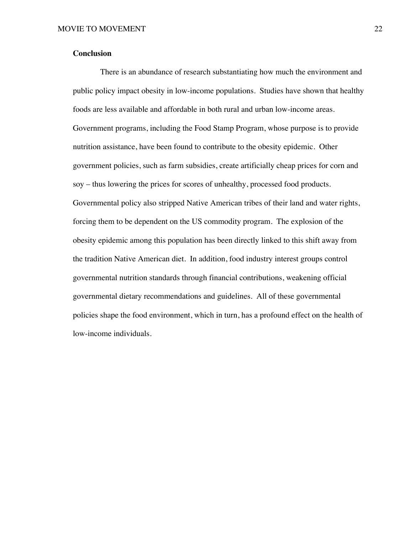#### **Conclusion**

There is an abundance of research substantiating how much the environment and public policy impact obesity in low-income populations. Studies have shown that healthy foods are less available and affordable in both rural and urban low-income areas. Government programs, including the Food Stamp Program, whose purpose is to provide nutrition assistance, have been found to contribute to the obesity epidemic. Other government policies, such as farm subsidies, create artificially cheap prices for corn and soy – thus lowering the prices for scores of unhealthy, processed food products. Governmental policy also stripped Native American tribes of their land and water rights, forcing them to be dependent on the US commodity program. The explosion of the obesity epidemic among this population has been directly linked to this shift away from the tradition Native American diet. In addition, food industry interest groups control governmental nutrition standards through financial contributions, weakening official governmental dietary recommendations and guidelines. All of these governmental policies shape the food environment, which in turn, has a profound effect on the health of low-income individuals.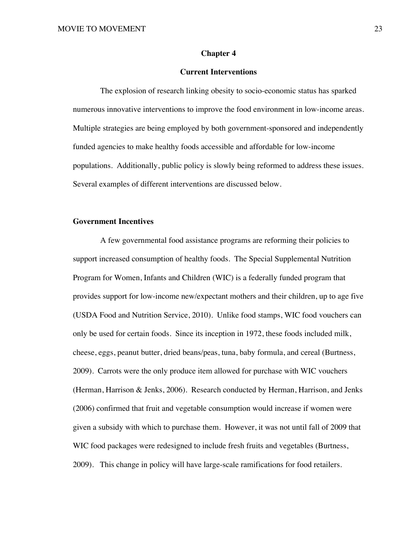#### **Chapter 4**

#### **Current Interventions**

The explosion of research linking obesity to socio-economic status has sparked numerous innovative interventions to improve the food environment in low-income areas. Multiple strategies are being employed by both government-sponsored and independently funded agencies to make healthy foods accessible and affordable for low-income populations. Additionally, public policy is slowly being reformed to address these issues. Several examples of different interventions are discussed below.

#### **Government Incentives**

A few governmental food assistance programs are reforming their policies to support increased consumption of healthy foods. The Special Supplemental Nutrition Program for Women, Infants and Children (WIC) is a federally funded program that provides support for low-income new/expectant mothers and their children, up to age five (USDA Food and Nutrition Service, 2010). Unlike food stamps, WIC food vouchers can only be used for certain foods. Since its inception in 1972, these foods included milk, cheese, eggs, peanut butter, dried beans/peas, tuna, baby formula, and cereal (Burtness, 2009). Carrots were the only produce item allowed for purchase with WIC vouchers (Herman, Harrison & Jenks, 2006). Research conducted by Herman, Harrison, and Jenks (2006) confirmed that fruit and vegetable consumption would increase if women were given a subsidy with which to purchase them. However, it was not until fall of 2009 that WIC food packages were redesigned to include fresh fruits and vegetables (Burtness, 2009). This change in policy will have large-scale ramifications for food retailers.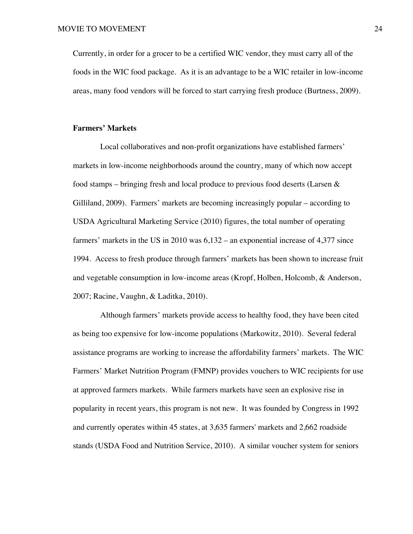Currently, in order for a grocer to be a certified WIC vendor, they must carry all of the foods in the WIC food package. As it is an advantage to be a WIC retailer in low-income areas, many food vendors will be forced to start carrying fresh produce (Burtness, 2009).

# **Farmers' Markets**

Local collaboratives and non-profit organizations have established farmers' markets in low-income neighborhoods around the country, many of which now accept food stamps – bringing fresh and local produce to previous food deserts (Larsen  $\&$ Gilliland, 2009). Farmers' markets are becoming increasingly popular – according to USDA Agricultural Marketing Service (2010) figures, the total number of operating farmers' markets in the US in 2010 was 6,132 – an exponential increase of 4,377 since 1994. Access to fresh produce through farmers' markets has been shown to increase fruit and vegetable consumption in low-income areas (Kropf, Holben, Holcomb, & Anderson, 2007; Racine, Vaughn, & Laditka, 2010).

Although farmers' markets provide access to healthy food, they have been cited as being too expensive for low-income populations (Markowitz, 2010). Several federal assistance programs are working to increase the affordability farmers' markets. The WIC Farmers' Market Nutrition Program (FMNP) provides vouchers to WIC recipients for use at approved farmers markets. While farmers markets have seen an explosive rise in popularity in recent years, this program is not new. It was founded by Congress in 1992 and currently operates within 45 states, at 3,635 farmers' markets and 2,662 roadside stands (USDA Food and Nutrition Service, 2010). A similar voucher system for seniors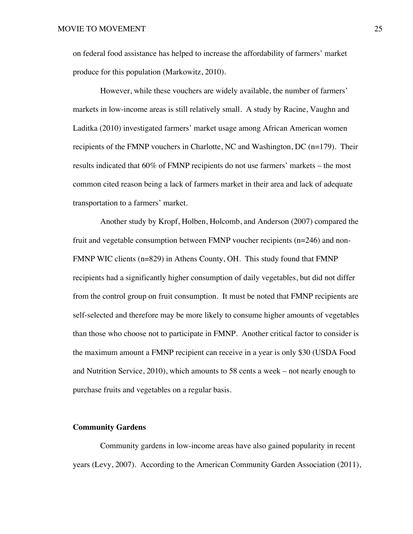on federal food assistance has helped to increase the affordability of farmers' market produce for this population (Markowitz, 2010).

However, while these vouchers are widely available, the number of farmers' markets in low-income areas is still relatively small. A study by Racine, Vaughn and Laditka (2010) investigated farmers' market usage among African American women recipients of the FMNP vouchers in Charlotte, NC and Washington, DC (n=179). Their results indicated that 60% of FMNP recipients do not use farmers' markets – the most common cited reason being a lack of farmers market in their area and lack of adequate transportation to a farmers' market.

Another study by Kropf, Holben, Holcomb, and Anderson (2007) compared the fruit and vegetable consumption between FMNP voucher recipients (n=246) and non-FMNP WIC clients (n=829) in Athens County, OH. This study found that FMNP recipients had a significantly higher consumption of daily vegetables, but did not differ from the control group on fruit consumption. It must be noted that FMNP recipients are self-selected and therefore may be more likely to consume higher amounts of vegetables than those who choose not to participate in FMNP. Another critical factor to consider is the maximum amount a FMNP recipient can receive in a year is only \$30 (USDA Food and Nutrition Service, 2010), which amounts to 58 cents a week – not nearly enough to purchase fruits and vegetables on a regular basis.

# **Community Gardens**

Community gardens in low-income areas have also gained popularity in recent years (Levy, 2007). According to the American Community Garden Association (2011),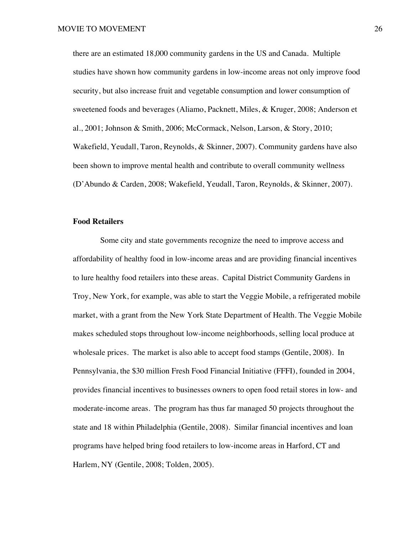there are an estimated 18,000 community gardens in the US and Canada. Multiple studies have shown how community gardens in low-income areas not only improve food security, but also increase fruit and vegetable consumption and lower consumption of sweetened foods and beverages (Aliamo, Packnett, Miles, & Kruger, 2008; Anderson et al., 2001; Johnson & Smith, 2006; McCormack, Nelson, Larson, & Story, 2010; Wakefield, Yeudall, Taron, Reynolds, & Skinner, 2007). Community gardens have also been shown to improve mental health and contribute to overall community wellness (D'Abundo & Carden, 2008; Wakefield, Yeudall, Taron, Reynolds, & Skinner, 2007).

#### **Food Retailers**

Some city and state governments recognize the need to improve access and affordability of healthy food in low-income areas and are providing financial incentives to lure healthy food retailers into these areas. Capital District Community Gardens in Troy, New York, for example, was able to start the Veggie Mobile, a refrigerated mobile market, with a grant from the New York State Department of Health. The Veggie Mobile makes scheduled stops throughout low-income neighborhoods, selling local produce at wholesale prices. The market is also able to accept food stamps (Gentile, 2008). In Pennsylvania, the \$30 million Fresh Food Financial Initiative (FFFI), founded in 2004, provides financial incentives to businesses owners to open food retail stores in low- and moderate-income areas. The program has thus far managed 50 projects throughout the state and 18 within Philadelphia (Gentile, 2008). Similar financial incentives and loan programs have helped bring food retailers to low-income areas in Harford, CT and Harlem, NY (Gentile, 2008; Tolden, 2005).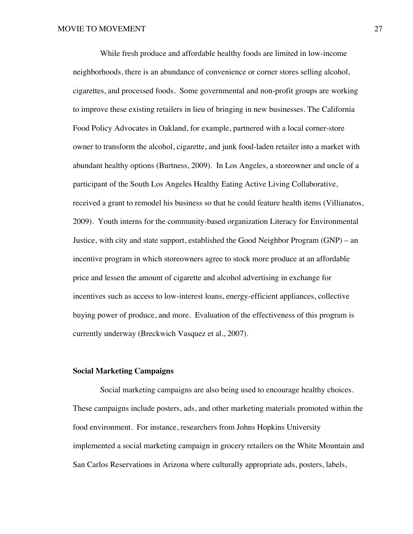While fresh produce and affordable healthy foods are limited in low-income neighborhoods, there is an abundance of convenience or corner stores selling alcohol, cigarettes, and processed foods. Some governmental and non-profit groups are working to improve these existing retailers in lieu of bringing in new businesses. The California Food Policy Advocates in Oakland, for example, partnered with a local corner-store owner to transform the alcohol, cigarette, and junk food-laden retailer into a market with abundant healthy options (Burtness, 2009). In Los Angeles, a storeowner and uncle of a participant of the South Los Angeles Healthy Eating Active Living Collaborative, received a grant to remodel his business so that he could feature health items (Villianatos, 2009). Youth interns for the community-based organization Literacy for Environmental Justice, with city and state support, established the Good Neighbor Program (GNP) – an incentive program in which storeowners agree to stock more produce at an affordable price and lessen the amount of cigarette and alcohol advertising in exchange for incentives such as access to low-interest loans, energy-efficient appliances, collective buying power of produce, and more. Evaluation of the effectiveness of this program is currently underway (Breckwich Vasquez et al., 2007).

# **Social Marketing Campaigns**

Social marketing campaigns are also being used to encourage healthy choices. These campaigns include posters, ads, and other marketing materials promoted within the food environment. For instance, researchers from Johns Hopkins University implemented a social marketing campaign in grocery retailers on the White Mountain and San Carlos Reservations in Arizona where culturally appropriate ads, posters, labels,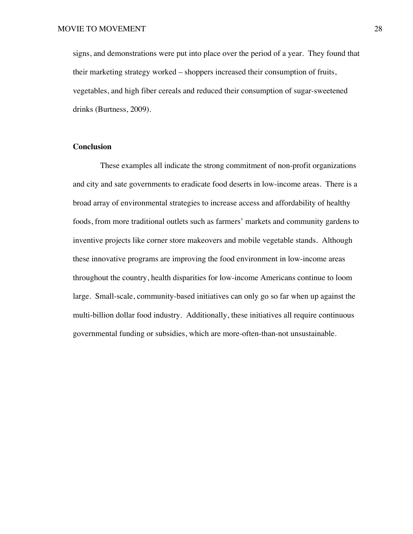signs, and demonstrations were put into place over the period of a year. They found that their marketing strategy worked – shoppers increased their consumption of fruits, vegetables, and high fiber cereals and reduced their consumption of sugar-sweetened drinks (Burtness, 2009).

# **Conclusion**

These examples all indicate the strong commitment of non-profit organizations and city and sate governments to eradicate food deserts in low-income areas. There is a broad array of environmental strategies to increase access and affordability of healthy foods, from more traditional outlets such as farmers' markets and community gardens to inventive projects like corner store makeovers and mobile vegetable stands. Although these innovative programs are improving the food environment in low-income areas throughout the country, health disparities for low-income Americans continue to loom large. Small-scale, community-based initiatives can only go so far when up against the multi-billion dollar food industry. Additionally, these initiatives all require continuous governmental funding or subsidies, which are more-often-than-not unsustainable.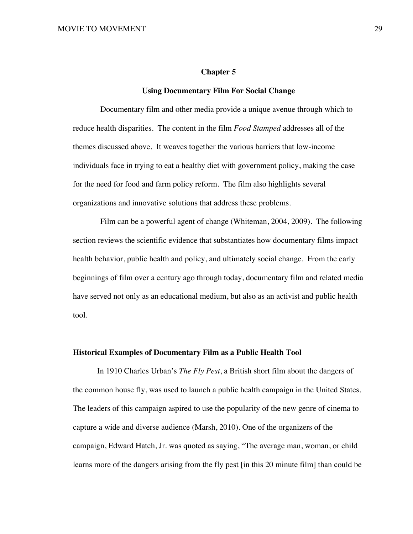## **Chapter 5**

## **Using Documentary Film For Social Change**

Documentary film and other media provide a unique avenue through which to reduce health disparities. The content in the film *Food Stamped* addresses all of the themes discussed above. It weaves together the various barriers that low-income individuals face in trying to eat a healthy diet with government policy, making the case for the need for food and farm policy reform. The film also highlights several organizations and innovative solutions that address these problems.

Film can be a powerful agent of change (Whiteman, 2004, 2009). The following section reviews the scientific evidence that substantiates how documentary films impact health behavior, public health and policy, and ultimately social change. From the early beginnings of film over a century ago through today, documentary film and related media have served not only as an educational medium, but also as an activist and public health tool.

# **Historical Examples of Documentary Film as a Public Health Tool**

In 1910 Charles Urban's *The Fly Pest*, a British short film about the dangers of the common house fly, was used to launch a public health campaign in the United States. The leaders of this campaign aspired to use the popularity of the new genre of cinema to capture a wide and diverse audience (Marsh, 2010). One of the organizers of the campaign, Edward Hatch, Jr. was quoted as saying, "The average man, woman, or child learns more of the dangers arising from the fly pest [in this 20 minute film] than could be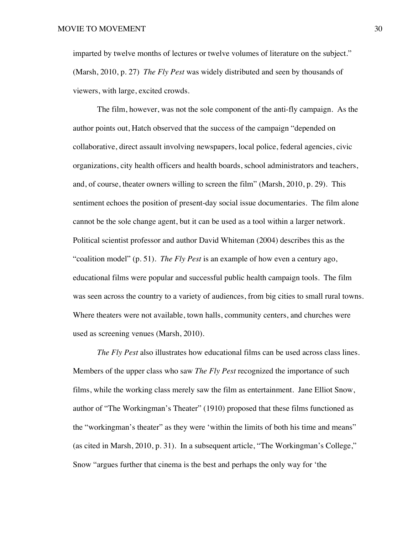imparted by twelve months of lectures or twelve volumes of literature on the subject." (Marsh, 2010, p. 27) *The Fly Pest* was widely distributed and seen by thousands of viewers, with large, excited crowds.

The film, however, was not the sole component of the anti-fly campaign. As the author points out, Hatch observed that the success of the campaign "depended on collaborative, direct assault involving newspapers, local police, federal agencies, civic organizations, city health officers and health boards, school administrators and teachers, and, of course, theater owners willing to screen the film" (Marsh, 2010, p. 29). This sentiment echoes the position of present-day social issue documentaries. The film alone cannot be the sole change agent, but it can be used as a tool within a larger network. Political scientist professor and author David Whiteman (2004) describes this as the "coalition model" (p. 51). *The Fly Pest* is an example of how even a century ago, educational films were popular and successful public health campaign tools. The film was seen across the country to a variety of audiences, from big cities to small rural towns. Where theaters were not available, town halls, community centers, and churches were used as screening venues (Marsh, 2010).

*The Fly Pest* also illustrates how educational films can be used across class lines. Members of the upper class who saw *The Fly Pest* recognized the importance of such films, while the working class merely saw the film as entertainment. Jane Elliot Snow, author of "The Workingman's Theater" (1910) proposed that these films functioned as the "workingman's theater" as they were 'within the limits of both his time and means" (as cited in Marsh, 2010, p. 31). In a subsequent article, "The Workingman's College," Snow "argues further that cinema is the best and perhaps the only way for 'the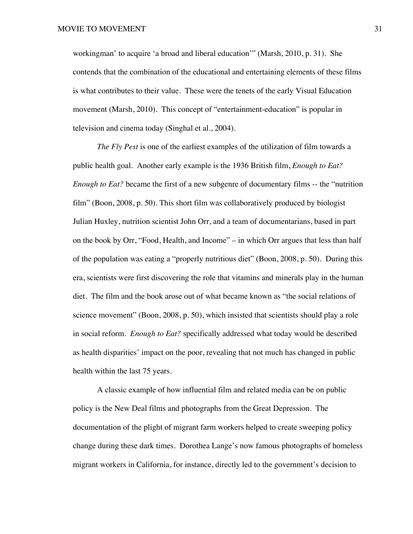workingman' to acquire 'a broad and liberal education'" (Marsh, 2010, p. 31). She contends that the combination of the educational and entertaining elements of these films is what contributes to their value. These were the tenets of the early Visual Education movement (Marsh, 2010). This concept of "entertainment-education" is popular in television and cinema today (Singhal et al., 2004).

*The Fly Pest* is one of the earliest examples of the utilization of film towards a public health goal. Another early example is the 1936 British film, *Enough to Eat? Enough to Eat?* became the first of a new subgenre of documentary films -- the "nutrition film" (Boon, 2008, p. 50). This short film was collaboratively produced by biologist Julian Huxley, nutrition scientist John Orr, and a team of documentarians, based in part on the book by Orr, "Food, Health, and Income" – in which Orr argues that less than half of the population was eating a "properly nutritious diet" (Boon, 2008, p. 50). During this era, scientists were first discovering the role that vitamins and minerals play in the human diet. The film and the book arose out of what became known as "the social relations of science movement" (Boon, 2008, p. 50), which insisted that scientists should play a role in social reform. *Enough to Eat?* specifically addressed what today would be described as health disparities' impact on the poor, revealing that not much has changed in public health within the last 75 years.

A classic example of how influential film and related media can be on public policy is the New Deal films and photographs from the Great Depression. The documentation of the plight of migrant farm workers helped to create sweeping policy change during these dark times. Dorothea Lange's now famous photographs of homeless migrant workers in California, for instance, directly led to the government's decision to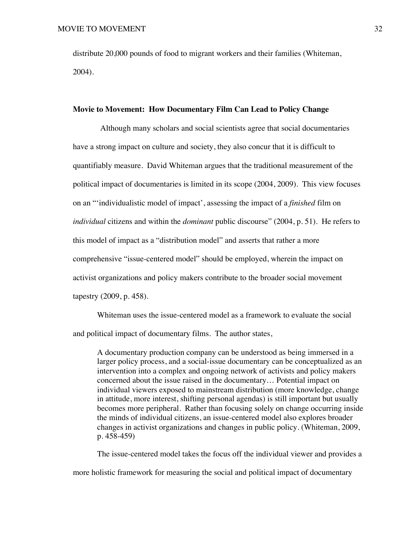distribute 20,000 pounds of food to migrant workers and their families (Whiteman, 2004).

# **Movie to Movement: How Documentary Film Can Lead to Policy Change**

Although many scholars and social scientists agree that social documentaries have a strong impact on culture and society, they also concur that it is difficult to quantifiably measure. David Whiteman argues that the traditional measurement of the political impact of documentaries is limited in its scope (2004, 2009). This view focuses on an "'individualistic model of impact', assessing the impact of a *finished* film on *individual* citizens and within the *dominant* public discourse" (2004, p. 51). He refers to this model of impact as a "distribution model" and asserts that rather a more comprehensive "issue-centered model" should be employed, wherein the impact on activist organizations and policy makers contribute to the broader social movement tapestry (2009, p. 458).

Whiteman uses the issue-centered model as a framework to evaluate the social and political impact of documentary films. The author states,

A documentary production company can be understood as being immersed in a larger policy process, and a social-issue documentary can be conceptualized as an intervention into a complex and ongoing network of activists and policy makers concerned about the issue raised in the documentary… Potential impact on individual viewers exposed to mainstream distribution (more knowledge, change in attitude, more interest, shifting personal agendas) is still important but usually becomes more peripheral. Rather than focusing solely on change occurring inside the minds of individual citizens, an issue-centered model also explores broader changes in activist organizations and changes in public policy. (Whiteman, 2009, p. 458-459)

The issue-centered model takes the focus off the individual viewer and provides a more holistic framework for measuring the social and political impact of documentary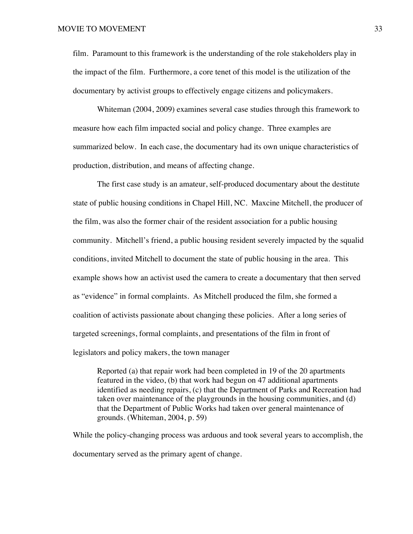film. Paramount to this framework is the understanding of the role stakeholders play in the impact of the film. Furthermore, a core tenet of this model is the utilization of the documentary by activist groups to effectively engage citizens and policymakers.

Whiteman (2004, 2009) examines several case studies through this framework to measure how each film impacted social and policy change. Three examples are summarized below. In each case, the documentary had its own unique characteristics of production, distribution, and means of affecting change.

The first case study is an amateur, self-produced documentary about the destitute state of public housing conditions in Chapel Hill, NC. Maxcine Mitchell, the producer of the film, was also the former chair of the resident association for a public housing community. Mitchell's friend, a public housing resident severely impacted by the squalid conditions, invited Mitchell to document the state of public housing in the area. This example shows how an activist used the camera to create a documentary that then served as "evidence" in formal complaints. As Mitchell produced the film, she formed a coalition of activists passionate about changing these policies. After a long series of targeted screenings, formal complaints, and presentations of the film in front of legislators and policy makers, the town manager

Reported (a) that repair work had been completed in 19 of the 20 apartments featured in the video, (b) that work had begun on 47 additional apartments identified as needing repairs, (c) that the Department of Parks and Recreation had taken over maintenance of the playgrounds in the housing communities, and (d) that the Department of Public Works had taken over general maintenance of grounds. (Whiteman, 2004, p. 59)

While the policy-changing process was arduous and took several years to accomplish, the documentary served as the primary agent of change.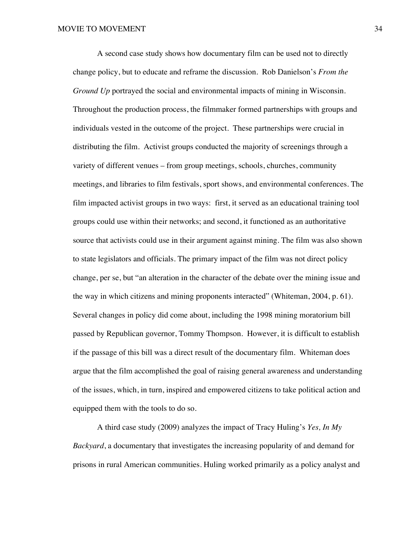A second case study shows how documentary film can be used not to directly change policy, but to educate and reframe the discussion. Rob Danielson's *From the Ground Up* portrayed the social and environmental impacts of mining in Wisconsin. Throughout the production process, the filmmaker formed partnerships with groups and individuals vested in the outcome of the project. These partnerships were crucial in distributing the film. Activist groups conducted the majority of screenings through a variety of different venues – from group meetings, schools, churches, community meetings, and libraries to film festivals, sport shows, and environmental conferences. The film impacted activist groups in two ways: first, it served as an educational training tool groups could use within their networks; and second, it functioned as an authoritative source that activists could use in their argument against mining. The film was also shown to state legislators and officials. The primary impact of the film was not direct policy change, per se, but "an alteration in the character of the debate over the mining issue and the way in which citizens and mining proponents interacted" (Whiteman, 2004, p. 61). Several changes in policy did come about, including the 1998 mining moratorium bill passed by Republican governor, Tommy Thompson. However, it is difficult to establish if the passage of this bill was a direct result of the documentary film. Whiteman does argue that the film accomplished the goal of raising general awareness and understanding of the issues, which, in turn, inspired and empowered citizens to take political action and equipped them with the tools to do so.

A third case study (2009) analyzes the impact of Tracy Huling's *Yes, In My Backyard*, a documentary that investigates the increasing popularity of and demand for prisons in rural American communities. Huling worked primarily as a policy analyst and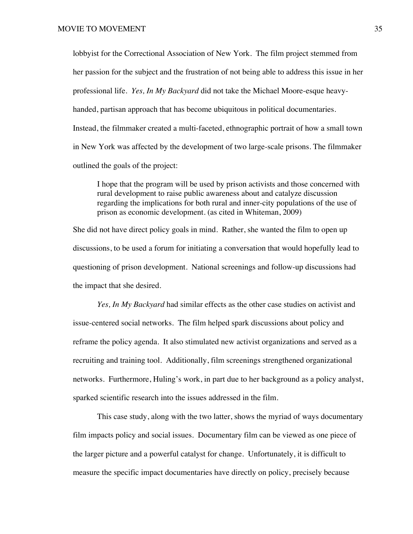lobbyist for the Correctional Association of New York. The film project stemmed from her passion for the subject and the frustration of not being able to address this issue in her professional life. *Yes, In My Backyard* did not take the Michael Moore-esque heavyhanded, partisan approach that has become ubiquitous in political documentaries. Instead, the filmmaker created a multi-faceted, ethnographic portrait of how a small town in New York was affected by the development of two large-scale prisons. The filmmaker outlined the goals of the project:

I hope that the program will be used by prison activists and those concerned with rural development to raise public awareness about and catalyze discussion regarding the implications for both rural and inner-city populations of the use of prison as economic development. (as cited in Whiteman, 2009)

She did not have direct policy goals in mind. Rather, she wanted the film to open up discussions, to be used a forum for initiating a conversation that would hopefully lead to questioning of prison development. National screenings and follow-up discussions had the impact that she desired.

*Yes, In My Backyard* had similar effects as the other case studies on activist and issue-centered social networks. The film helped spark discussions about policy and reframe the policy agenda. It also stimulated new activist organizations and served as a recruiting and training tool. Additionally, film screenings strengthened organizational networks. Furthermore, Huling's work, in part due to her background as a policy analyst, sparked scientific research into the issues addressed in the film.

This case study, along with the two latter, shows the myriad of ways documentary film impacts policy and social issues. Documentary film can be viewed as one piece of the larger picture and a powerful catalyst for change. Unfortunately, it is difficult to measure the specific impact documentaries have directly on policy, precisely because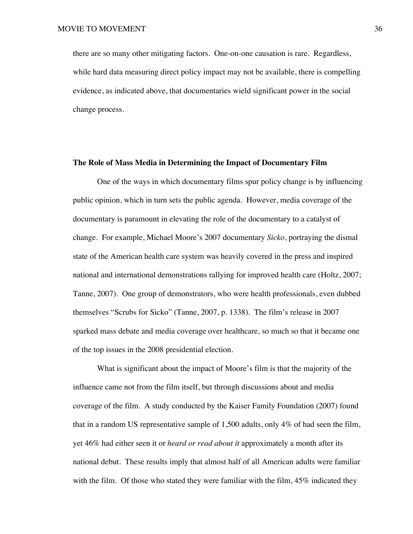there are so many other mitigating factors. One-on-one causation is rare. Regardless, while hard data measuring direct policy impact may not be available, there is compelling evidence, as indicated above, that documentaries wield significant power in the social change process.

# **The Role of Mass Media in Determining the Impact of Documentary Film**

One of the ways in which documentary films spur policy change is by influencing public opinion, which in turn sets the public agenda. However, media coverage of the documentary is paramount in elevating the role of the documentary to a catalyst of change. For example, Michael Moore's 2007 documentary *Sicko*, portraying the dismal state of the American health care system was heavily covered in the press and inspired national and international demonstrations rallying for improved health care (Holtz, 2007; Tanne, 2007). One group of demonstrators, who were health professionals, even dubbed themselves "Scrubs for Sicko" (Tanne, 2007, p. 1338). The film's release in 2007 sparked mass debate and media coverage over healthcare, so much so that it became one of the top issues in the 2008 presidential election.

What is significant about the impact of Moore's film is that the majority of the influence came not from the film itself, but through discussions about and media coverage of the film. A study conducted by the Kaiser Family Foundation (2007) found that in a random US representative sample of 1,500 adults, only 4% of had seen the film, yet 46% had either seen it or *heard or read about it* approximately a month after its national debut. These results imply that almost half of all American adults were familiar with the film. Of those who stated they were familiar with the film, 45% indicated they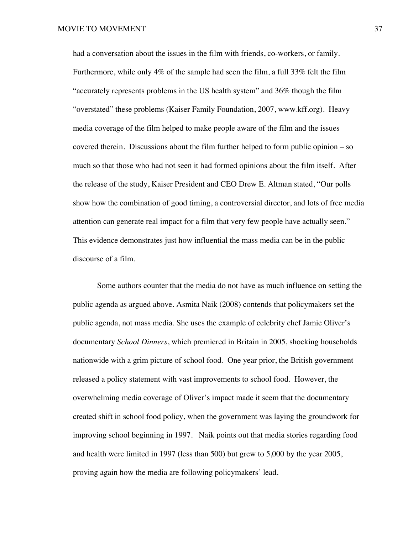had a conversation about the issues in the film with friends, co-workers, or family. Furthermore, while only 4% of the sample had seen the film, a full 33% felt the film "accurately represents problems in the US health system" and 36% though the film "overstated" these problems (Kaiser Family Foundation, 2007, www.kff.org). Heavy media coverage of the film helped to make people aware of the film and the issues covered therein. Discussions about the film further helped to form public opinion – so much so that those who had not seen it had formed opinions about the film itself. After the release of the study, Kaiser President and CEO Drew E. Altman stated, "Our polls show how the combination of good timing, a controversial director, and lots of free media attention can generate real impact for a film that very few people have actually seen." This evidence demonstrates just how influential the mass media can be in the public discourse of a film.

Some authors counter that the media do not have as much influence on setting the public agenda as argued above. Asmita Naik (2008) contends that policymakers set the public agenda, not mass media. She uses the example of celebrity chef Jamie Oliver's documentary *School Dinners*, which premiered in Britain in 2005, shocking households nationwide with a grim picture of school food. One year prior, the British government released a policy statement with vast improvements to school food. However, the overwhelming media coverage of Oliver's impact made it seem that the documentary created shift in school food policy, when the government was laying the groundwork for improving school beginning in 1997. Naik points out that media stories regarding food and health were limited in 1997 (less than 500) but grew to 5,000 by the year 2005, proving again how the media are following policymakers' lead.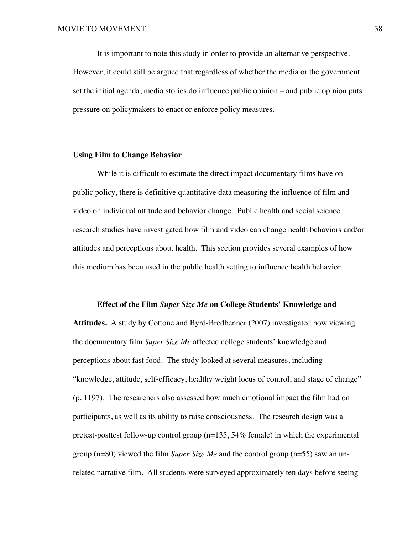It is important to note this study in order to provide an alternative perspective. However, it could still be argued that regardless of whether the media or the government set the initial agenda, media stories do influence public opinion – and public opinion puts pressure on policymakers to enact or enforce policy measures.

#### **Using Film to Change Behavior**

While it is difficult to estimate the direct impact documentary films have on public policy, there is definitive quantitative data measuring the influence of film and video on individual attitude and behavior change. Public health and social science research studies have investigated how film and video can change health behaviors and/or attitudes and perceptions about health. This section provides several examples of how this medium has been used in the public health setting to influence health behavior.

## **Effect of the Film** *Super Size Me* **on College Students' Knowledge and**

**Attitudes.** A study by Cottone and Byrd-Bredbenner (2007) investigated how viewing the documentary film *Super Size Me* affected college students' knowledge and perceptions about fast food. The study looked at several measures, including "knowledge, attitude, self-efficacy, healthy weight locus of control, and stage of change" (p. 1197). The researchers also assessed how much emotional impact the film had on participants, as well as its ability to raise consciousness. The research design was a pretest-posttest follow-up control group  $(n=135, 54\%$  female) in which the experimental group (n=80) viewed the film *Super Size Me* and the control group (n=55) saw an unrelated narrative film. All students were surveyed approximately ten days before seeing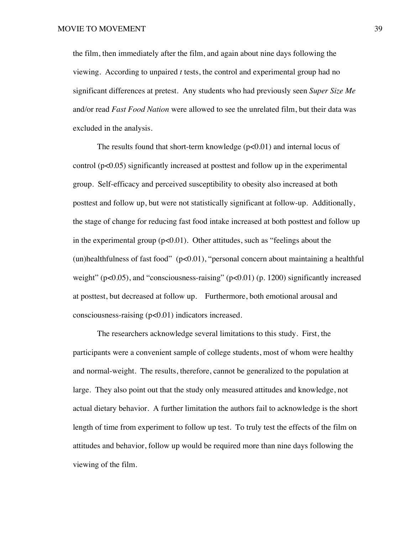the film, then immediately after the film, and again about nine days following the viewing. According to unpaired *t* tests, the control and experimental group had no significant differences at pretest. Any students who had previously seen *Super Size Me* and*/*or read *Fast Food Nation* were allowed to see the unrelated film, but their data was excluded in the analysis.

The results found that short-term knowledge  $(p<0.01)$  and internal locus of control  $(p<0.05)$  significantly increased at posttest and follow up in the experimental group. Self-efficacy and perceived susceptibility to obesity also increased at both posttest and follow up, but were not statistically significant at follow-up. Additionally, the stage of change for reducing fast food intake increased at both posttest and follow up in the experimental group  $(p<0.01)$ . Other attitudes, such as "feelings about the (un)healthfulness of fast food"  $(p<0.01)$ , "personal concern about maintaining a healthful weight" ( $p<0.05$ ), and "consciousness-raising" ( $p<0.01$ ) ( $p. 1200$ ) significantly increased at posttest, but decreased at follow up. Furthermore, both emotional arousal and consciousness-raising (p<0.01) indicators increased.

The researchers acknowledge several limitations to this study. First, the participants were a convenient sample of college students, most of whom were healthy and normal-weight. The results, therefore, cannot be generalized to the population at large. They also point out that the study only measured attitudes and knowledge, not actual dietary behavior. A further limitation the authors fail to acknowledge is the short length of time from experiment to follow up test. To truly test the effects of the film on attitudes and behavior, follow up would be required more than nine days following the viewing of the film.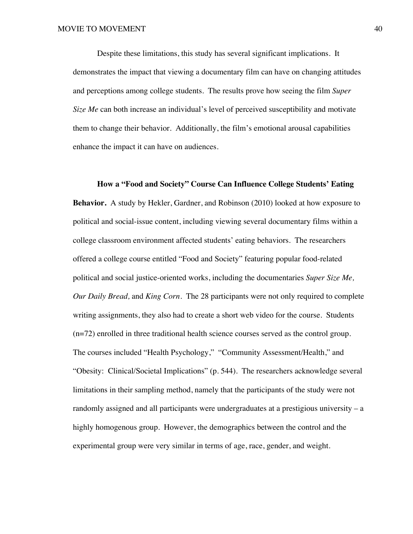Despite these limitations, this study has several significant implications. It demonstrates the impact that viewing a documentary film can have on changing attitudes and perceptions among college students. The results prove how seeing the film *Super Size Me* can both increase an individual's level of perceived susceptibility and motivate them to change their behavior. Additionally, the film's emotional arousal capabilities enhance the impact it can have on audiences.

**How a "Food and Society" Course Can Influence College Students' Eating Behavior.** A study by Hekler, Gardner, and Robinson (2010) looked at how exposure to political and social-issue content, including viewing several documentary films within a college classroom environment affected students' eating behaviors. The researchers offered a college course entitled "Food and Society" featuring popular food-related political and social justice-oriented works, including the documentaries *Super Size Me, Our Daily Bread,* and *King Corn*. The 28 participants were not only required to complete writing assignments, they also had to create a short web video for the course. Students (n=72) enrolled in three traditional health science courses served as the control group. The courses included "Health Psychology," "Community Assessment/Health," and "Obesity: Clinical/Societal Implications" (p. 544). The researchers acknowledge several limitations in their sampling method, namely that the participants of the study were not randomly assigned and all participants were undergraduates at a prestigious university – a highly homogenous group. However, the demographics between the control and the experimental group were very similar in terms of age, race, gender, and weight.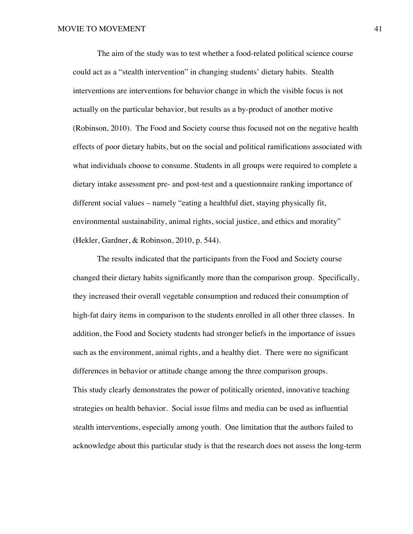The aim of the study was to test whether a food-related political science course could act as a "stealth intervention" in changing students' dietary habits. Stealth interventions are interventions for behavior change in which the visible focus is not actually on the particular behavior, but results as a by-product of another motive (Robinson, 2010). The Food and Society course thus focused not on the negative health effects of poor dietary habits, but on the social and political ramifications associated with what individuals choose to consume. Students in all groups were required to complete a dietary intake assessment pre- and post-test and a questionnaire ranking importance of different social values – namely "eating a healthful diet, staying physically fit, environmental sustainability, animal rights, social justice, and ethics and morality" (Hekler, Gardner, & Robinson, 2010, p. 544).

The results indicated that the participants from the Food and Society course changed their dietary habits significantly more than the comparison group. Specifically, they increased their overall vegetable consumption and reduced their consumption of high-fat dairy items in comparison to the students enrolled in all other three classes. In addition, the Food and Society students had stronger beliefs in the importance of issues such as the environment, animal rights, and a healthy diet. There were no significant differences in behavior or attitude change among the three comparison groups. This study clearly demonstrates the power of politically oriented, innovative teaching strategies on health behavior. Social issue films and media can be used as influential stealth interventions, especially among youth. One limitation that the authors failed to acknowledge about this particular study is that the research does not assess the long-term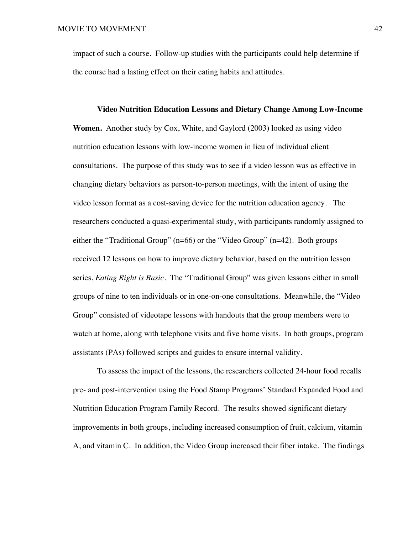impact of such a course. Follow-up studies with the participants could help determine if the course had a lasting effect on their eating habits and attitudes.

**Video Nutrition Education Lessons and Dietary Change Among Low-Income Women.** Another study by Cox, White, and Gaylord (2003) looked as using video nutrition education lessons with low-income women in lieu of individual client consultations. The purpose of this study was to see if a video lesson was as effective in changing dietary behaviors as person-to-person meetings, with the intent of using the video lesson format as a cost-saving device for the nutrition education agency. The researchers conducted a quasi-experimental study, with participants randomly assigned to either the "Traditional Group" (n=66) or the "Video Group" (n=42). Both groups received 12 lessons on how to improve dietary behavior, based on the nutrition lesson series, *Eating Right is Basic*. The "Traditional Group" was given lessons either in small groups of nine to ten individuals or in one-on-one consultations. Meanwhile, the "Video Group" consisted of videotape lessons with handouts that the group members were to watch at home, along with telephone visits and five home visits. In both groups, program assistants (PAs) followed scripts and guides to ensure internal validity.

To assess the impact of the lessons, the researchers collected 24-hour food recalls pre- and post-intervention using the Food Stamp Programs' Standard Expanded Food and Nutrition Education Program Family Record. The results showed significant dietary improvements in both groups, including increased consumption of fruit, calcium, vitamin A, and vitamin C. In addition, the Video Group increased their fiber intake. The findings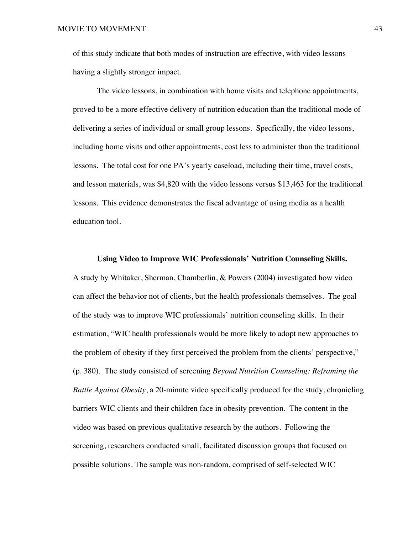of this study indicate that both modes of instruction are effective, with video lessons having a slightly stronger impact.

The video lessons, in combination with home visits and telephone appointments, proved to be a more effective delivery of nutrition education than the traditional mode of delivering a series of individual or small group lessons. Specfically, the video lessons, including home visits and other appointments, cost less to administer than the traditional lessons. The total cost for one PA's yearly caseload, including their time, travel costs, and lesson materials, was \$4,820 with the video lessons versus \$13,463 for the traditional lessons. This evidence demonstrates the fiscal advantage of using media as a health education tool.

#### **Using Video to Improve WIC Professionals' Nutrition Counseling Skills.**

A study by Whitaker, Sherman, Chamberlin, & Powers (2004) investigated how video can affect the behavior not of clients, but the health professionals themselves. The goal of the study was to improve WIC professionals' nutrition counseling skills. In their estimation, "WIC health professionals would be more likely to adopt new approaches to the problem of obesity if they first perceived the problem from the clients' perspective," (p. 380). The study consisted of screening *Beyond Nutrition Counseling: Reframing the Battle Against Obesity*, a 20-minute video specifically produced for the study, chronicling barriers WIC clients and their children face in obesity prevention. The content in the video was based on previous qualitative research by the authors. Following the screening, researchers conducted small, facilitated discussion groups that focused on possible solutions. The sample was non-random, comprised of self-selected WIC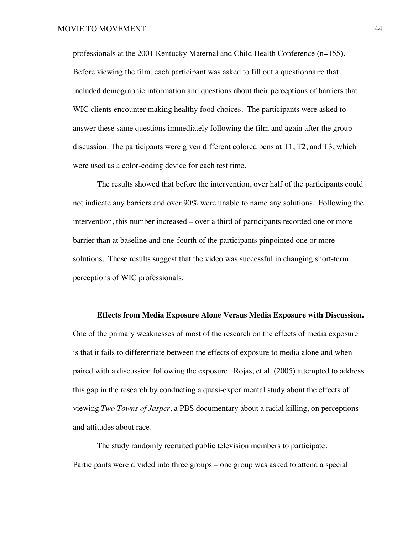professionals at the 2001 Kentucky Maternal and Child Health Conference (n=155). Before viewing the film, each participant was asked to fill out a questionnaire that included demographic information and questions about their perceptions of barriers that WIC clients encounter making healthy food choices. The participants were asked to answer these same questions immediately following the film and again after the group discussion. The participants were given different colored pens at T1, T2, and T3, which were used as a color-coding device for each test time.

The results showed that before the intervention, over half of the participants could not indicate any barriers and over 90% were unable to name any solutions. Following the intervention, this number increased – over a third of participants recorded one or more barrier than at baseline and one-fourth of the participants pinpointed one or more solutions. These results suggest that the video was successful in changing short-term perceptions of WIC professionals.

#### **Effects from Media Exposure Alone Versus Media Exposure with Discussion.**

One of the primary weaknesses of most of the research on the effects of media exposure is that it fails to differentiate between the effects of exposure to media alone and when paired with a discussion following the exposure. Rojas, et al. (2005) attempted to address this gap in the research by conducting a quasi-experimental study about the effects of viewing *Two Towns of Jasper,* a PBS documentary about a racial killing, on perceptions and attitudes about race.

The study randomly recruited public television members to participate. Participants were divided into three groups – one group was asked to attend a special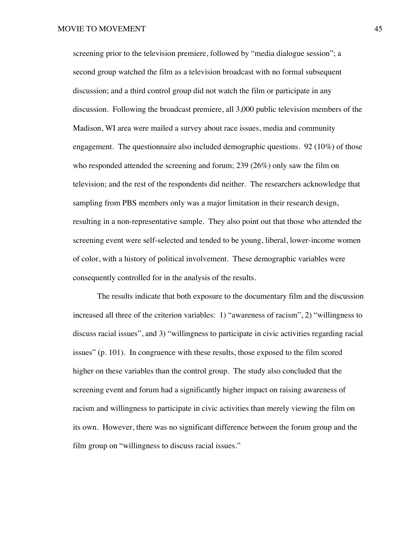screening prior to the television premiere, followed by "media dialogue session"; a second group watched the film as a television broadcast with no formal subsequent discussion; and a third control group did not watch the film or participate in any discussion. Following the broadcast premiere, all 3,000 public television members of the Madison, WI area were mailed a survey about race issues, media and community engagement. The questionnaire also included demographic questions. 92 (10%) of those who responded attended the screening and forum; 239 (26%) only saw the film on television; and the rest of the respondents did neither. The researchers acknowledge that sampling from PBS members only was a major limitation in their research design, resulting in a non-representative sample. They also point out that those who attended the screening event were self-selected and tended to be young, liberal, lower-income women of color, with a history of political involvement. These demographic variables were consequently controlled for in the analysis of the results.

The results indicate that both exposure to the documentary film and the discussion increased all three of the criterion variables: 1) "awareness of racism", 2) "willingness to discuss racial issues", and 3) "willingness to participate in civic activities regarding racial issues" (p. 101). In congruence with these results, those exposed to the film scored higher on these variables than the control group. The study also concluded that the screening event and forum had a significantly higher impact on raising awareness of racism and willingness to participate in civic activities than merely viewing the film on its own. However, there was no significant difference between the forum group and the film group on "willingness to discuss racial issues."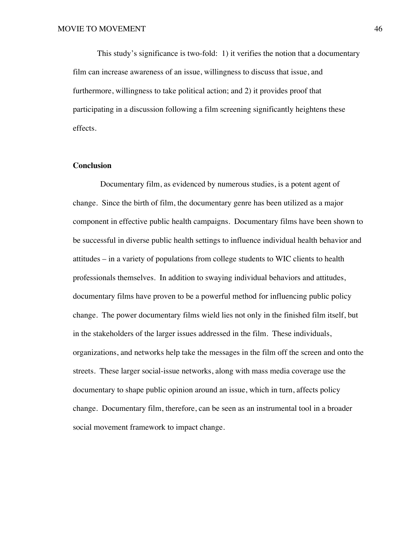This study's significance is two-fold: 1) it verifies the notion that a documentary film can increase awareness of an issue, willingness to discuss that issue, and furthermore, willingness to take political action; and 2) it provides proof that participating in a discussion following a film screening significantly heightens these effects.

# **Conclusion**

Documentary film, as evidenced by numerous studies, is a potent agent of change. Since the birth of film, the documentary genre has been utilized as a major component in effective public health campaigns. Documentary films have been shown to be successful in diverse public health settings to influence individual health behavior and attitudes – in a variety of populations from college students to WIC clients to health professionals themselves. In addition to swaying individual behaviors and attitudes, documentary films have proven to be a powerful method for influencing public policy change. The power documentary films wield lies not only in the finished film itself, but in the stakeholders of the larger issues addressed in the film. These individuals, organizations, and networks help take the messages in the film off the screen and onto the streets. These larger social-issue networks, along with mass media coverage use the documentary to shape public opinion around an issue, which in turn, affects policy change. Documentary film, therefore, can be seen as an instrumental tool in a broader social movement framework to impact change.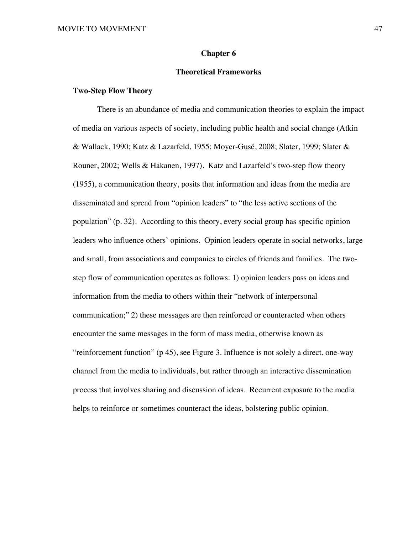## **Chapter 6**

# **Theoretical Frameworks**

# **Two-Step Flow Theory**

There is an abundance of media and communication theories to explain the impact of media on various aspects of society, including public health and social change (Atkin & Wallack, 1990; Katz & Lazarfeld, 1955; Moyer-Gusé, 2008; Slater, 1999; Slater & Rouner, 2002; Wells & Hakanen, 1997). Katz and Lazarfeld's two-step flow theory (1955), a communication theory, posits that information and ideas from the media are disseminated and spread from "opinion leaders" to "the less active sections of the population" (p. 32). According to this theory, every social group has specific opinion leaders who influence others' opinions. Opinion leaders operate in social networks, large and small, from associations and companies to circles of friends and families. The twostep flow of communication operates as follows: 1) opinion leaders pass on ideas and information from the media to others within their "network of interpersonal communication;" 2) these messages are then reinforced or counteracted when others encounter the same messages in the form of mass media, otherwise known as "reinforcement function" (p 45), see Figure 3. Influence is not solely a direct, one-way channel from the media to individuals, but rather through an interactive dissemination process that involves sharing and discussion of ideas. Recurrent exposure to the media helps to reinforce or sometimes counteract the ideas, bolstering public opinion.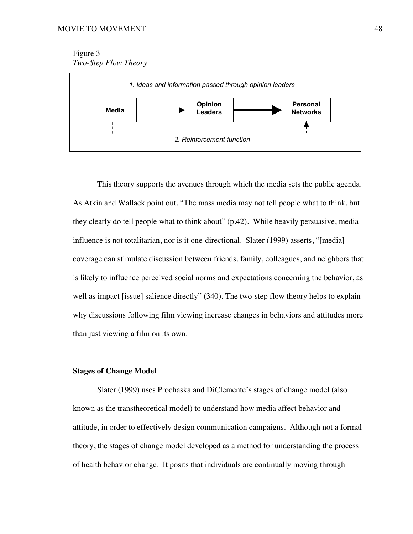Figure 3 *Two-Step Flow Theory*



This theory supports the avenues through which the media sets the public agenda. As Atkin and Wallack point out, "The mass media may not tell people what to think, but they clearly do tell people what to think about" (p.42). While heavily persuasive, media influence is not totalitarian, nor is it one-directional. Slater (1999) asserts, "[media] coverage can stimulate discussion between friends, family, colleagues, and neighbors that is likely to influence perceived social norms and expectations concerning the behavior, as well as impact [issue] salience directly" (340). The two-step flow theory helps to explain why discussions following film viewing increase changes in behaviors and attitudes more than just viewing a film on its own.

# **Stages of Change Model**

Slater (1999) uses Prochaska and DiClemente's stages of change model (also known as the transtheoretical model) to understand how media affect behavior and attitude, in order to effectively design communication campaigns. Although not a formal theory, the stages of change model developed as a method for understanding the process of health behavior change. It posits that individuals are continually moving through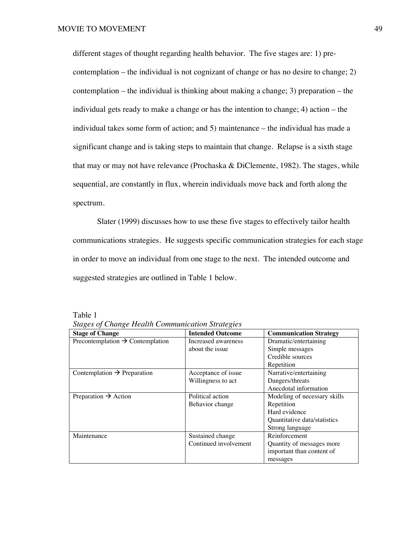different stages of thought regarding health behavior. The five stages are: 1) precontemplation – the individual is not cognizant of change or has no desire to change; 2) contemplation – the individual is thinking about making a change; 3) preparation – the individual gets ready to make a change or has the intention to change; 4) action – the individual takes some form of action; and 5) maintenance – the individual has made a significant change and is taking steps to maintain that change. Relapse is a sixth stage that may or may not have relevance (Prochaska & DiClemente, 1982). The stages, while sequential, are constantly in flux, wherein individuals move back and forth along the spectrum.

Slater (1999) discusses how to use these five stages to effectively tailor health communications strategies. He suggests specific communication strategies for each stage in order to move an individual from one stage to the next. The intended outcome and suggested strategies are outlined in Table 1 below.

Table 1

| <b>Stages of Change Health Communication Strategies</b> |                                        |
|---------------------------------------------------------|----------------------------------------|
|                                                         | $\mathbf{v}$ . The set of $\mathbf{v}$ |

| <b>Stage of Change</b>                       | <b>Intended Outcome</b> | <b>Communication Strategy</b> |
|----------------------------------------------|-------------------------|-------------------------------|
| Precontemplation $\rightarrow$ Contemplation | Increased awareness     | Dramatic/entertaining         |
|                                              | about the issue         | Simple messages               |
|                                              |                         | Credible sources              |
|                                              |                         | Repetition                    |
| Contemplation $\rightarrow$ Preparation      | Acceptance of issue     | Narrative/entertaining        |
|                                              | Willingness to act      | Dangers/threats               |
|                                              |                         | Anecdotal information         |
| Preparation $\rightarrow$ Action             | Political action        | Modeling of necessary skills  |
|                                              | Behavior change         | Repetition                    |
|                                              |                         | Hard evidence                 |
|                                              |                         | Quantitative data/statistics  |
|                                              |                         | Strong language               |
| Maintenance                                  | Sustained change        | Reinforcement                 |
|                                              | Continued involvement   | Quantity of messages more     |
|                                              |                         | important than content of     |
|                                              |                         | messages                      |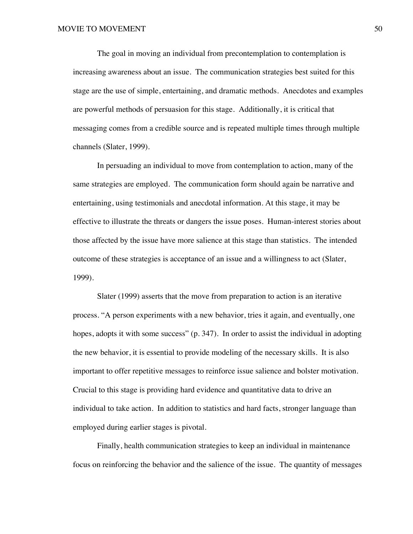The goal in moving an individual from precontemplation to contemplation is increasing awareness about an issue. The communication strategies best suited for this stage are the use of simple, entertaining, and dramatic methods. Anecdotes and examples are powerful methods of persuasion for this stage. Additionally, it is critical that messaging comes from a credible source and is repeated multiple times through multiple channels (Slater, 1999).

In persuading an individual to move from contemplation to action, many of the same strategies are employed. The communication form should again be narrative and entertaining, using testimonials and anecdotal information. At this stage, it may be effective to illustrate the threats or dangers the issue poses. Human-interest stories about those affected by the issue have more salience at this stage than statistics. The intended outcome of these strategies is acceptance of an issue and a willingness to act (Slater, 1999).

Slater (1999) asserts that the move from preparation to action is an iterative process. "A person experiments with a new behavior, tries it again, and eventually, one hopes, adopts it with some success" (p. 347). In order to assist the individual in adopting the new behavior, it is essential to provide modeling of the necessary skills. It is also important to offer repetitive messages to reinforce issue salience and bolster motivation. Crucial to this stage is providing hard evidence and quantitative data to drive an individual to take action. In addition to statistics and hard facts, stronger language than employed during earlier stages is pivotal.

Finally, health communication strategies to keep an individual in maintenance focus on reinforcing the behavior and the salience of the issue. The quantity of messages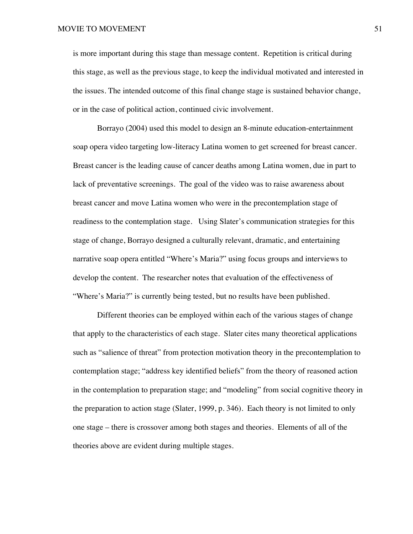is more important during this stage than message content. Repetition is critical during this stage, as well as the previous stage, to keep the individual motivated and interested in the issues. The intended outcome of this final change stage is sustained behavior change, or in the case of political action, continued civic involvement.

Borrayo (2004) used this model to design an 8-minute education-entertainment soap opera video targeting low-literacy Latina women to get screened for breast cancer. Breast cancer is the leading cause of cancer deaths among Latina women, due in part to lack of preventative screenings. The goal of the video was to raise awareness about breast cancer and move Latina women who were in the precontemplation stage of readiness to the contemplation stage. Using Slater's communication strategies for this stage of change, Borrayo designed a culturally relevant, dramatic, and entertaining narrative soap opera entitled "Where's Maria?" using focus groups and interviews to develop the content. The researcher notes that evaluation of the effectiveness of "Where's Maria?" is currently being tested, but no results have been published.

Different theories can be employed within each of the various stages of change that apply to the characteristics of each stage. Slater cites many theoretical applications such as "salience of threat" from protection motivation theory in the precontemplation to contemplation stage; "address key identified beliefs" from the theory of reasoned action in the contemplation to preparation stage; and "modeling" from social cognitive theory in the preparation to action stage (Slater, 1999, p. 346). Each theory is not limited to only one stage – there is crossover among both stages and theories. Elements of all of the theories above are evident during multiple stages.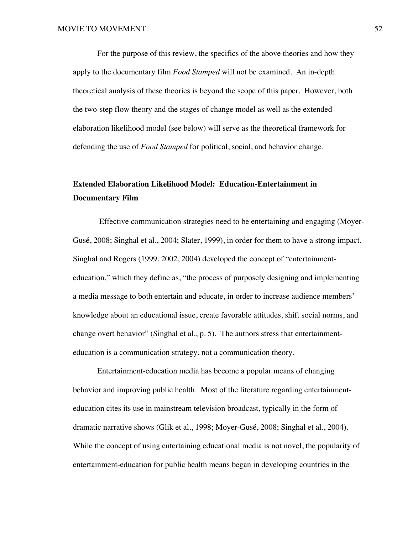For the purpose of this review, the specifics of the above theories and how they apply to the documentary film *Food Stamped* will not be examined. An in-depth theoretical analysis of these theories is beyond the scope of this paper. However, both the two-step flow theory and the stages of change model as well as the extended elaboration likelihood model (see below) will serve as the theoretical framework for defending the use of *Food Stamped* for political, social, and behavior change.

# **Extended Elaboration Likelihood Model: Education-Entertainment in Documentary Film**

 Effective communication strategies need to be entertaining and engaging (Moyer-Gusé, 2008; Singhal et al., 2004; Slater, 1999), in order for them to have a strong impact. Singhal and Rogers (1999, 2002, 2004) developed the concept of "entertainmenteducation," which they define as, "the process of purposely designing and implementing a media message to both entertain and educate, in order to increase audience members' knowledge about an educational issue, create favorable attitudes, shift social norms, and change overt behavior" (Singhal et al., p. 5). The authors stress that entertainmenteducation is a communication strategy, not a communication theory.

Entertainment-education media has become a popular means of changing behavior and improving public health. Most of the literature regarding entertainmenteducation cites its use in mainstream television broadcast, typically in the form of dramatic narrative shows (Glik et al., 1998; Moyer-Gusé, 2008; Singhal et al., 2004). While the concept of using entertaining educational media is not novel, the popularity of entertainment-education for public health means began in developing countries in the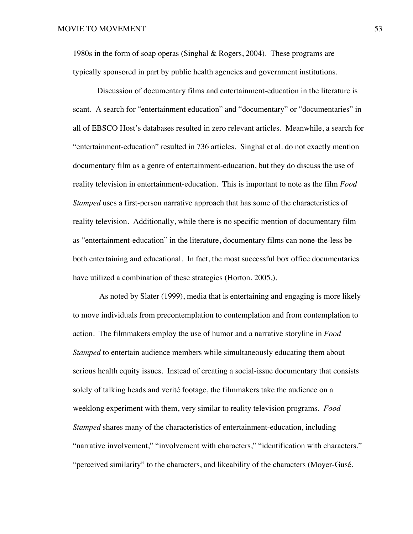1980s in the form of soap operas (Singhal & Rogers, 2004). These programs are typically sponsored in part by public health agencies and government institutions.

Discussion of documentary films and entertainment-education in the literature is scant. A search for "entertainment education" and "documentary" or "documentaries" in all of EBSCO Host's databases resulted in zero relevant articles. Meanwhile, a search for "entertainment-education" resulted in 736 articles. Singhal et al. do not exactly mention documentary film as a genre of entertainment-education, but they do discuss the use of reality television in entertainment-education. This is important to note as the film *Food Stamped* uses a first-person narrative approach that has some of the characteristics of reality television. Additionally, while there is no specific mention of documentary film as "entertainment-education" in the literature, documentary films can none-the-less be both entertaining and educational. In fact, the most successful box office documentaries have utilized a combination of these strategies (Horton, 2005,).

 As noted by Slater (1999), media that is entertaining and engaging is more likely to move individuals from precontemplation to contemplation and from contemplation to action. The filmmakers employ the use of humor and a narrative storyline in *Food Stamped* to entertain audience members while simultaneously educating them about serious health equity issues. Instead of creating a social-issue documentary that consists solely of talking heads and verité footage, the filmmakers take the audience on a weeklong experiment with them, very similar to reality television programs. *Food Stamped* shares many of the characteristics of entertainment-education, including "narrative involvement," "involvement with characters," "identification with characters," "perceived similarity" to the characters, and likeability of the characters (Moyer-Gusé,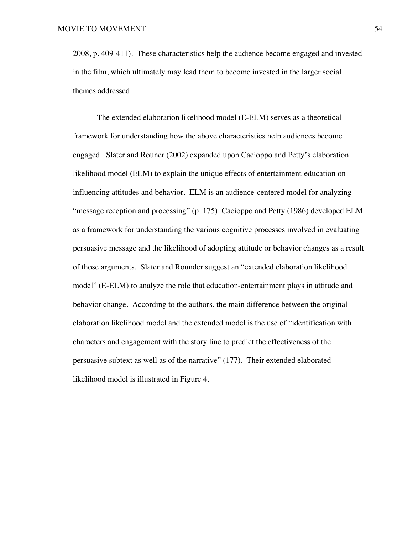2008, p. 409-411). These characteristics help the audience become engaged and invested in the film, which ultimately may lead them to become invested in the larger social themes addressed.

The extended elaboration likelihood model (E-ELM) serves as a theoretical framework for understanding how the above characteristics help audiences become engaged. Slater and Rouner (2002) expanded upon Cacioppo and Petty's elaboration likelihood model (ELM) to explain the unique effects of entertainment-education on influencing attitudes and behavior. ELM is an audience-centered model for analyzing "message reception and processing" (p. 175). Cacioppo and Petty (1986) developed ELM as a framework for understanding the various cognitive processes involved in evaluating persuasive message and the likelihood of adopting attitude or behavior changes as a result of those arguments. Slater and Rounder suggest an "extended elaboration likelihood model" (E-ELM) to analyze the role that education-entertainment plays in attitude and behavior change. According to the authors, the main difference between the original elaboration likelihood model and the extended model is the use of "identification with characters and engagement with the story line to predict the effectiveness of the persuasive subtext as well as of the narrative" (177). Their extended elaborated likelihood model is illustrated in Figure 4.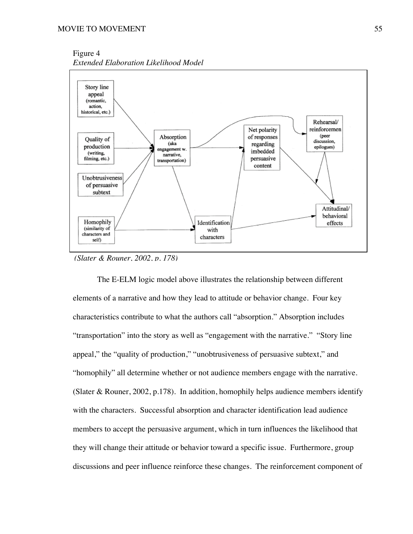Figure 4 *Extended Elaboration Likelihood Model*



*(Slater & Rouner, 2002, p. 178)*

The E-ELM logic model above illustrates the relationship between different elements of a narrative and how they lead to attitude or behavior change. Four key characteristics contribute to what the authors call "absorption." Absorption includes "transportation" into the story as well as "engagement with the narrative." "Story line appeal," the "quality of production," "unobtrusiveness of persuasive subtext," and "homophily" all determine whether or not audience members engage with the narrative. (Slater & Rouner, 2002, p.178). In addition, homophily helps audience members identify with the characters. Successful absorption and character identification lead audience members to accept the persuasive argument, which in turn influences the likelihood that they will change their attitude or behavior toward a specific issue. Furthermore, group discussions and peer influence reinforce these changes. The reinforcement component of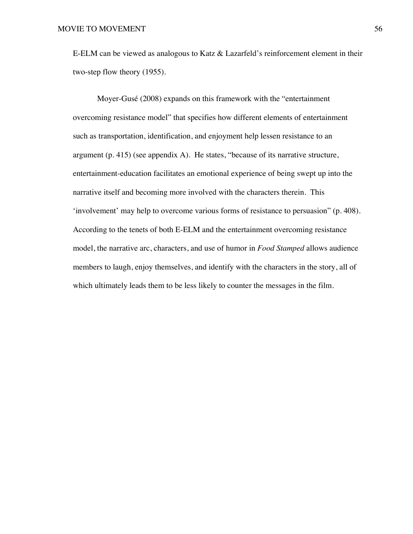E-ELM can be viewed as analogous to Katz & Lazarfeld's reinforcement element in their two-step flow theory (1955).

Moyer-Gusé (2008) expands on this framework with the "entertainment overcoming resistance model" that specifies how different elements of entertainment such as transportation, identification, and enjoyment help lessen resistance to an argument (p. 415) (see appendix A). He states, "because of its narrative structure, entertainment-education facilitates an emotional experience of being swept up into the narrative itself and becoming more involved with the characters therein. This 'involvement' may help to overcome various forms of resistance to persuasion" (p. 408). According to the tenets of both E-ELM and the entertainment overcoming resistance model, the narrative arc, characters, and use of humor in *Food Stamped* allows audience members to laugh, enjoy themselves, and identify with the characters in the story, all of which ultimately leads them to be less likely to counter the messages in the film.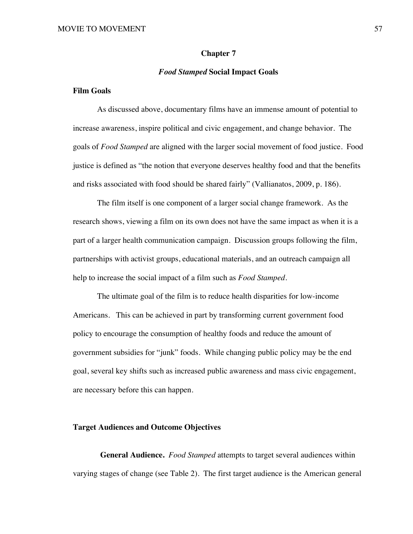## **Chapter 7**

## *Food Stamped* **Social Impact Goals**

# **Film Goals**

As discussed above, documentary films have an immense amount of potential to increase awareness, inspire political and civic engagement, and change behavior. The goals of *Food Stamped* are aligned with the larger social movement of food justice. Food justice is defined as "the notion that everyone deserves healthy food and that the benefits and risks associated with food should be shared fairly" (Vallianatos, 2009, p. 186).

The film itself is one component of a larger social change framework. As the research shows, viewing a film on its own does not have the same impact as when it is a part of a larger health communication campaign. Discussion groups following the film, partnerships with activist groups, educational materials, and an outreach campaign all help to increase the social impact of a film such as *Food Stamped.*

The ultimate goal of the film is to reduce health disparities for low-income Americans. This can be achieved in part by transforming current government food policy to encourage the consumption of healthy foods and reduce the amount of government subsidies for "junk" foods. While changing public policy may be the end goal, several key shifts such as increased public awareness and mass civic engagement, are necessary before this can happen.

# **Target Audiences and Outcome Objectives**

**General Audience.** *Food Stamped* attempts to target several audiences within varying stages of change (see Table 2). The first target audience is the American general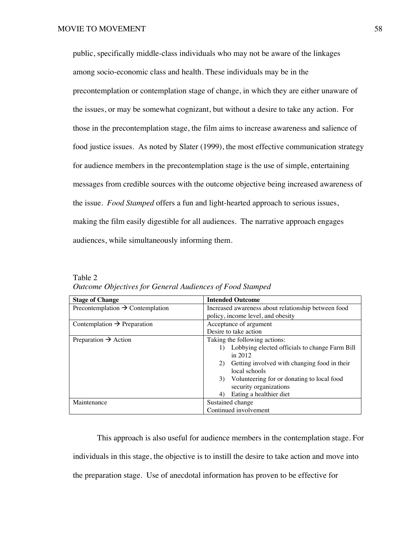public, specifically middle-class individuals who may not be aware of the linkages among socio-economic class and health. These individuals may be in the precontemplation or contemplation stage of change, in which they are either unaware of the issues, or may be somewhat cognizant, but without a desire to take any action. For those in the precontemplation stage, the film aims to increase awareness and salience of food justice issues. As noted by Slater (1999), the most effective communication strategy for audience members in the precontemplation stage is the use of simple, entertaining messages from credible sources with the outcome objective being increased awareness of the issue. *Food Stamped* offers a fun and light-hearted approach to serious issues, making the film easily digestible for all audiences. The narrative approach engages audiences, while simultaneously informing them.

| <b>Stage of Change</b>                       | <b>Intended Outcome</b>                             |
|----------------------------------------------|-----------------------------------------------------|
| Precontemplation $\rightarrow$ Contemplation | Increased awareness about relationship between food |
|                                              | policy, income level, and obesity                   |
| Contemplation $\rightarrow$ Preparation      | Acceptance of argument                              |
|                                              | Desire to take action                               |
| Preparation $\rightarrow$ Action             | Taking the following actions:                       |
|                                              | Lobbying elected officials to change Farm Bill      |
|                                              | in $2012$                                           |
|                                              | Getting involved with changing food in their<br>2)  |
|                                              | local schools                                       |
|                                              | Volunteering for or donating to local food<br>3)    |
|                                              | security organizations                              |
|                                              | Eating a healthier diet<br>4)                       |
| Maintenance                                  | Sustained change                                    |
|                                              | Continued involvement                               |

Table 2 *Outcome Objectives for General Audiences of Food Stamped*

This approach is also useful for audience members in the contemplation stage. For individuals in this stage, the objective is to instill the desire to take action and move into the preparation stage. Use of anecdotal information has proven to be effective for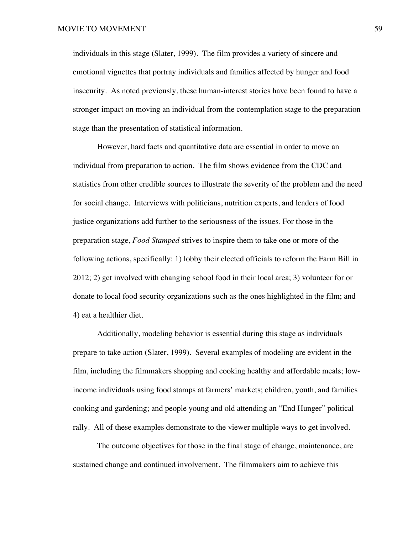individuals in this stage (Slater, 1999). The film provides a variety of sincere and emotional vignettes that portray individuals and families affected by hunger and food insecurity. As noted previously, these human-interest stories have been found to have a stronger impact on moving an individual from the contemplation stage to the preparation stage than the presentation of statistical information.

However, hard facts and quantitative data are essential in order to move an individual from preparation to action. The film shows evidence from the CDC and statistics from other credible sources to illustrate the severity of the problem and the need for social change. Interviews with politicians, nutrition experts, and leaders of food justice organizations add further to the seriousness of the issues. For those in the preparation stage, *Food Stamped* strives to inspire them to take one or more of the following actions, specifically: 1) lobby their elected officials to reform the Farm Bill in 2012; 2) get involved with changing school food in their local area; 3) volunteer for or donate to local food security organizations such as the ones highlighted in the film; and 4) eat a healthier diet.

Additionally, modeling behavior is essential during this stage as individuals prepare to take action (Slater, 1999). Several examples of modeling are evident in the film, including the filmmakers shopping and cooking healthy and affordable meals; lowincome individuals using food stamps at farmers' markets; children, youth, and families cooking and gardening; and people young and old attending an "End Hunger" political rally. All of these examples demonstrate to the viewer multiple ways to get involved.

The outcome objectives for those in the final stage of change, maintenance, are sustained change and continued involvement. The filmmakers aim to achieve this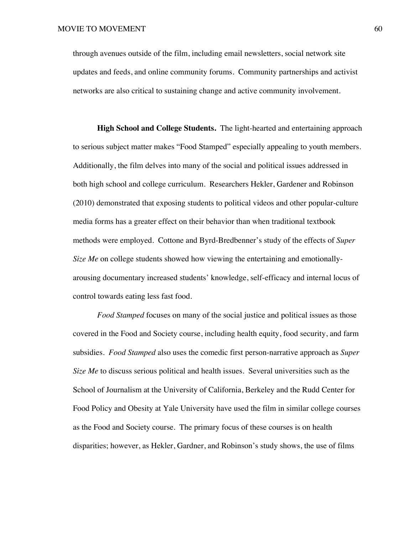through avenues outside of the film, including email newsletters, social network site updates and feeds, and online community forums. Community partnerships and activist networks are also critical to sustaining change and active community involvement.

**High School and College Students.** The light-hearted and entertaining approach to serious subject matter makes "Food Stamped" especially appealing to youth members. Additionally, the film delves into many of the social and political issues addressed in both high school and college curriculum. Researchers Hekler, Gardener and Robinson (2010) demonstrated that exposing students to political videos and other popular-culture media forms has a greater effect on their behavior than when traditional textbook methods were employed. Cottone and Byrd-Bredbenner's study of the effects of *Super Size Me* on college students showed how viewing the entertaining and emotionallyarousing documentary increased students' knowledge, self-efficacy and internal locus of control towards eating less fast food.

*Food Stamped* focuses on many of the social justice and political issues as those covered in the Food and Society course, including health equity, food security, and farm subsidies. *Food Stamped* also uses the comedic first person-narrative approach as *Super Size Me* to discuss serious political and health issues. Several universities such as the School of Journalism at the University of California, Berkeley and the Rudd Center for Food Policy and Obesity at Yale University have used the film in similar college courses as the Food and Society course. The primary focus of these courses is on health disparities; however, as Hekler, Gardner, and Robinson's study shows, the use of films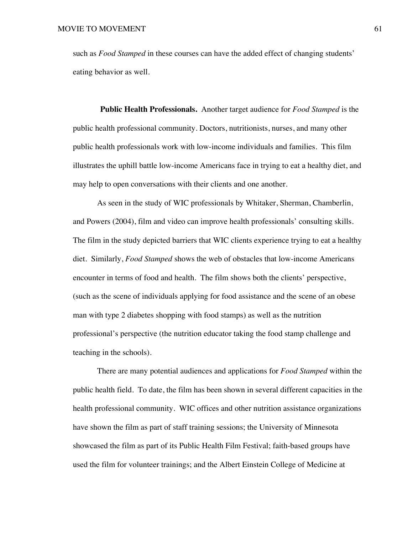such as *Food Stamped* in these courses can have the added effect of changing students' eating behavior as well.

**Public Health Professionals.** Another target audience for *Food Stamped* is the public health professional community. Doctors, nutritionists, nurses, and many other public health professionals work with low-income individuals and families. This film illustrates the uphill battle low-income Americans face in trying to eat a healthy diet, and may help to open conversations with their clients and one another.

As seen in the study of WIC professionals by Whitaker, Sherman, Chamberlin, and Powers (2004), film and video can improve health professionals' consulting skills. The film in the study depicted barriers that WIC clients experience trying to eat a healthy diet. Similarly, *Food Stamped* shows the web of obstacles that low-income Americans encounter in terms of food and health. The film shows both the clients' perspective, (such as the scene of individuals applying for food assistance and the scene of an obese man with type 2 diabetes shopping with food stamps) as well as the nutrition professional's perspective (the nutrition educator taking the food stamp challenge and teaching in the schools).

There are many potential audiences and applications for *Food Stamped* within the public health field. To date, the film has been shown in several different capacities in the health professional community. WIC offices and other nutrition assistance organizations have shown the film as part of staff training sessions; the University of Minnesota showcased the film as part of its Public Health Film Festival; faith-based groups have used the film for volunteer trainings; and the Albert Einstein College of Medicine at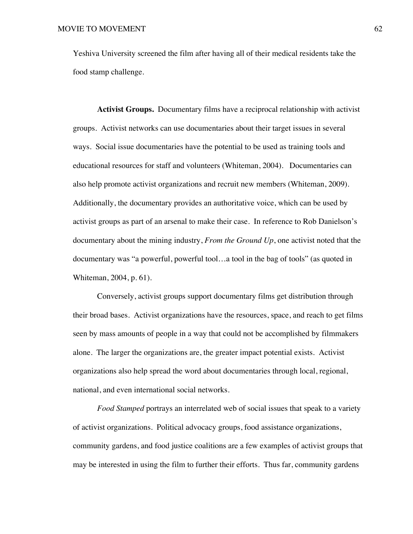Yeshiva University screened the film after having all of their medical residents take the food stamp challenge.

**Activist Groups.** Documentary films have a reciprocal relationship with activist groups. Activist networks can use documentaries about their target issues in several ways. Social issue documentaries have the potential to be used as training tools and educational resources for staff and volunteers (Whiteman, 2004). Documentaries can also help promote activist organizations and recruit new members (Whiteman, 2009). Additionally, the documentary provides an authoritative voice, which can be used by activist groups as part of an arsenal to make their case. In reference to Rob Danielson's documentary about the mining industry, *From the Ground Up*, one activist noted that the documentary was "a powerful, powerful tool…a tool in the bag of tools" (as quoted in Whiteman, 2004, p. 61).

Conversely, activist groups support documentary films get distribution through their broad bases. Activist organizations have the resources, space, and reach to get films seen by mass amounts of people in a way that could not be accomplished by filmmakers alone. The larger the organizations are, the greater impact potential exists. Activist organizations also help spread the word about documentaries through local, regional, national, and even international social networks.

*Food Stamped* portrays an interrelated web of social issues that speak to a variety of activist organizations. Political advocacy groups, food assistance organizations, community gardens, and food justice coalitions are a few examples of activist groups that may be interested in using the film to further their efforts. Thus far, community gardens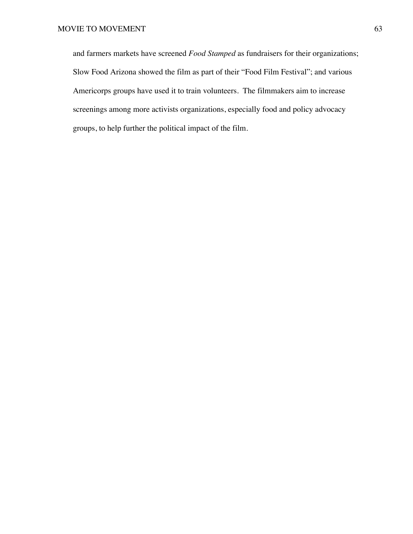and farmers markets have screened *Food Stamped* as fundraisers for their organizations; Slow Food Arizona showed the film as part of their "Food Film Festival"; and various Americorps groups have used it to train volunteers. The filmmakers aim to increase screenings among more activists organizations, especially food and policy advocacy groups, to help further the political impact of the film.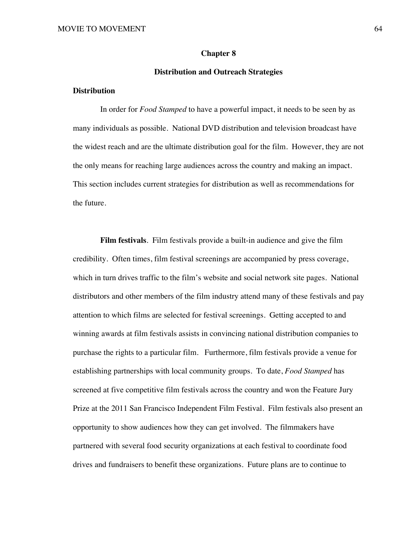#### **Chapter 8**

### **Distribution and Outreach Strategies**

### **Distribution**

In order for *Food Stamped* to have a powerful impact, it needs to be seen by as many individuals as possible. National DVD distribution and television broadcast have the widest reach and are the ultimate distribution goal for the film. However, they are not the only means for reaching large audiences across the country and making an impact. This section includes current strategies for distribution as well as recommendations for the future.

**Film festivals**. Film festivals provide a built-in audience and give the film credibility. Often times, film festival screenings are accompanied by press coverage, which in turn drives traffic to the film's website and social network site pages. National distributors and other members of the film industry attend many of these festivals and pay attention to which films are selected for festival screenings. Getting accepted to and winning awards at film festivals assists in convincing national distribution companies to purchase the rights to a particular film. Furthermore, film festivals provide a venue for establishing partnerships with local community groups. To date, *Food Stamped* has screened at five competitive film festivals across the country and won the Feature Jury Prize at the 2011 San Francisco Independent Film Festival. Film festivals also present an opportunity to show audiences how they can get involved. The filmmakers have partnered with several food security organizations at each festival to coordinate food drives and fundraisers to benefit these organizations. Future plans are to continue to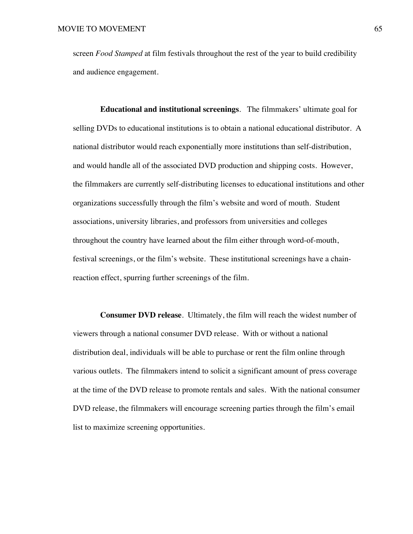screen *Food Stamped* at film festivals throughout the rest of the year to build credibility and audience engagement.

**Educational and institutional screenings**. The filmmakers' ultimate goal for selling DVDs to educational institutions is to obtain a national educational distributor. A national distributor would reach exponentially more institutions than self-distribution, and would handle all of the associated DVD production and shipping costs. However, the filmmakers are currently self-distributing licenses to educational institutions and other organizations successfully through the film's website and word of mouth. Student associations, university libraries, and professors from universities and colleges throughout the country have learned about the film either through word-of-mouth, festival screenings, or the film's website. These institutional screenings have a chainreaction effect, spurring further screenings of the film.

**Consumer DVD release**. Ultimately, the film will reach the widest number of viewers through a national consumer DVD release. With or without a national distribution deal, individuals will be able to purchase or rent the film online through various outlets. The filmmakers intend to solicit a significant amount of press coverage at the time of the DVD release to promote rentals and sales. With the national consumer DVD release, the filmmakers will encourage screening parties through the film's email list to maximize screening opportunities.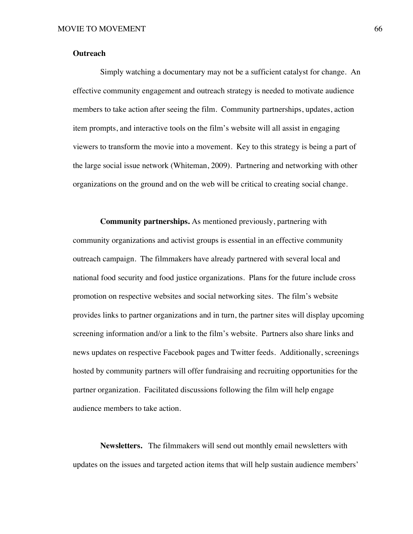### **Outreach**

Simply watching a documentary may not be a sufficient catalyst for change. An effective community engagement and outreach strategy is needed to motivate audience members to take action after seeing the film. Community partnerships, updates, action item prompts, and interactive tools on the film's website will all assist in engaging viewers to transform the movie into a movement. Key to this strategy is being a part of the large social issue network (Whiteman, 2009). Partnering and networking with other organizations on the ground and on the web will be critical to creating social change.

**Community partnerships.** As mentioned previously, partnering with community organizations and activist groups is essential in an effective community outreach campaign. The filmmakers have already partnered with several local and national food security and food justice organizations. Plans for the future include cross promotion on respective websites and social networking sites. The film's website provides links to partner organizations and in turn, the partner sites will display upcoming screening information and/or a link to the film's website. Partners also share links and news updates on respective Facebook pages and Twitter feeds. Additionally, screenings hosted by community partners will offer fundraising and recruiting opportunities for the partner organization. Facilitated discussions following the film will help engage audience members to take action.

**Newsletters.** The filmmakers will send out monthly email newsletters with updates on the issues and targeted action items that will help sustain audience members'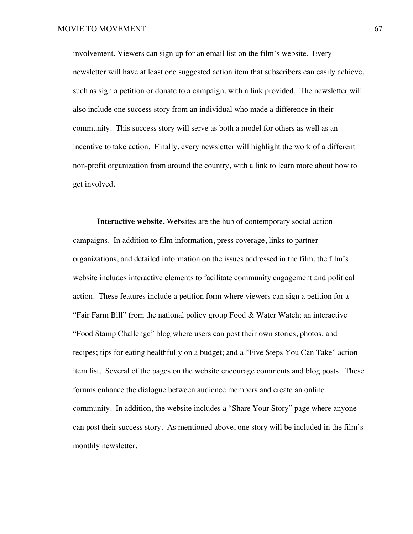involvement. Viewers can sign up for an email list on the film's website. Every newsletter will have at least one suggested action item that subscribers can easily achieve, such as sign a petition or donate to a campaign, with a link provided.The newsletter will also include one success story from an individual who made a difference in their community. This success story will serve as both a model for others as well as an incentive to take action. Finally, every newsletter will highlight the work of a different non-profit organization from around the country, with a link to learn more about how to get involved.

**Interactive website.** Websites are the hub of contemporary social action campaigns. In addition to film information, press coverage, links to partner organizations, and detailed information on the issues addressed in the film, the film's website includes interactive elements to facilitate community engagement and political action. These features include a petition form where viewers can sign a petition for a "Fair Farm Bill" from the national policy group Food & Water Watch; an interactive "Food Stamp Challenge" blog where users can post their own stories, photos, and recipes; tips for eating healthfully on a budget; and a "Five Steps You Can Take" action item list. Several of the pages on the website encourage comments and blog posts. These forums enhance the dialogue between audience members and create an online community. In addition, the website includes a "Share Your Story" page where anyone can post their success story. As mentioned above, one story will be included in the film's monthly newsletter.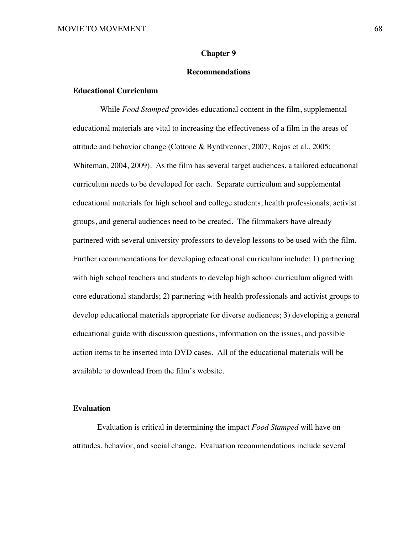### **Chapter 9**

### **Recommendations**

## **Educational Curriculum**

While *Food Stamped* provides educational content in the film, supplemental educational materials are vital to increasing the effectiveness of a film in the areas of attitude and behavior change (Cottone & Byrdbrenner, 2007; Rojas et al., 2005; Whiteman, 2004, 2009). As the film has several target audiences, a tailored educational curriculum needs to be developed for each. Separate curriculum and supplemental educational materials for high school and college students, health professionals, activist groups, and general audiences need to be created. The filmmakers have already partnered with several university professors to develop lessons to be used with the film. Further recommendations for developing educational curriculum include: 1) partnering with high school teachers and students to develop high school curriculum aligned with core educational standards; 2) partnering with health professionals and activist groups to develop educational materials appropriate for diverse audiences; 3) developing a general educational guide with discussion questions, information on the issues, and possible action items to be inserted into DVD cases. All of the educational materials will be available to download from the film's website.

### **Evaluation**

Evaluation is critical in determining the impact *Food Stamped* will have on attitudes, behavior, and social change. Evaluation recommendations include several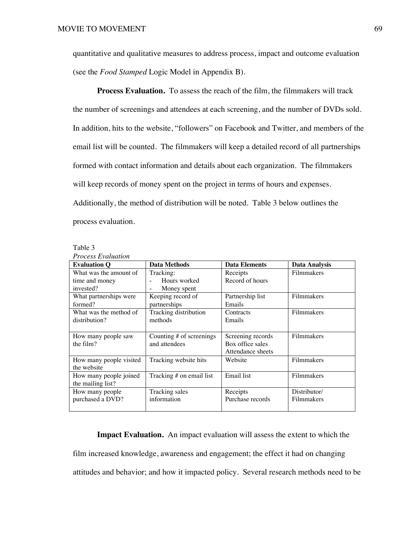quantitative and qualitative measures to address process, impact and outcome evaluation (see the *Food Stamped* Logic Model in Appendix B).

**Process Evaluation.** To assess the reach of the film, the filmmakers will track the number of screenings and attendees at each screening, and the number of DVDs sold. In addition, hits to the website, "followers" on Facebook and Twitter, and members of the email list will be counted. The filmmakers will keep a detailed record of all partnerships formed with contact information and details about each organization. The filmmakers will keep records of money spent on the project in terms of hours and expenses. Additionally, the method of distribution will be noted. Table 3 below outlines the process evaluation.

| л |
|---|
|---|

| <b>Process Evaluation</b> |                               |                      |               |
|---------------------------|-------------------------------|----------------------|---------------|
| <b>Evaluation O</b>       | Data Methods                  | <b>Data Elements</b> | Data Analysis |
| What was the amount of    | Tracking:                     | Receipts             | Filmmakers    |
| time and money            | Hours worked                  | Record of hours      |               |
| invested?                 | Money spent<br>$\blacksquare$ |                      |               |
| What partnerships were    | Keeping record of             | Partnership list     | Filmmakers    |
| formed?                   | partnerships                  | Emails               |               |
| What was the method of    | Tracking distribution         | Contracts            | Filmmakers    |
| distribution?             | methods                       | Emails               |               |
|                           |                               |                      |               |
| How many people saw       | Counting $#$ of screenings    | Screening records    | Filmmakers    |
| the film?                 | and attendees                 | Box office sales     |               |
|                           |                               | Attendance sheets    |               |
| How many people visited   | Tracking website hits         | Website              | Filmmakers    |
| the website               |                               |                      |               |
| How many people joined    | Tracking # on email list      | Email list           | Filmmakers    |
| the mailing list?         |                               |                      |               |
| How many people           | Tracking sales                | Receipts             | Distributor/  |
| purchased a DVD?          | information                   | Purchase records     | Filmmakers    |
|                           |                               |                      |               |

**Impact Evaluation.** An impact evaluation will assess the extent to which the film increased knowledge, awareness and engagement; the effect it had on changing attitudes and behavior; and how it impacted policy. Several research methods need to be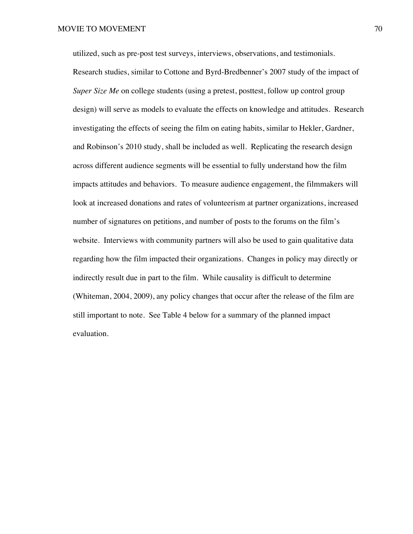utilized, such as pre-post test surveys, interviews, observations, and testimonials. Research studies, similar to Cottone and Byrd-Bredbenner's 2007 study of the impact of *Super Size Me* on college students (using a pretest, posttest, follow up control group design) will serve as models to evaluate the effects on knowledge and attitudes. Research investigating the effects of seeing the film on eating habits, similar to Hekler, Gardner, and Robinson's 2010 study, shall be included as well. Replicating the research design across different audience segments will be essential to fully understand how the film impacts attitudes and behaviors. To measure audience engagement, the filmmakers will look at increased donations and rates of volunteerism at partner organizations, increased number of signatures on petitions, and number of posts to the forums on the film's website. Interviews with community partners will also be used to gain qualitative data regarding how the film impacted their organizations. Changes in policy may directly or indirectly result due in part to the film. While causality is difficult to determine (Whiteman, 2004, 2009), any policy changes that occur after the release of the film are still important to note. See Table 4 below for a summary of the planned impact evaluation.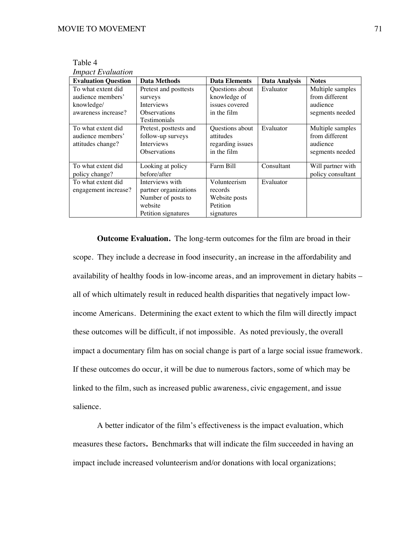| Table 4                  |
|--------------------------|
| <b>Impact Evaluation</b> |

| <b>Evaluation Question</b> | <b>Data Methods</b>    | <b>Data Elements</b> | <b>Data Analysis</b> | <b>Notes</b>      |
|----------------------------|------------------------|----------------------|----------------------|-------------------|
| To what extent did         | Pretest and posttests  | Questions about      | Evaluator            | Multiple samples  |
| audience members'          | surveys                | knowledge of         |                      | from different    |
| knowledge/                 | <b>Interviews</b>      | issues covered       |                      | audience          |
| awareness increase?        | <b>Observations</b>    | in the film          |                      | segments needed   |
|                            | Testimonials           |                      |                      |                   |
| To what extent did         | Pretest, posttests and | Questions about      | Evaluator            | Multiple samples  |
| audience members'          | follow-up surveys      | attitudes            |                      | from different    |
| attitudes change?          | <b>Interviews</b>      | regarding issues     |                      | audience          |
|                            | <b>Observations</b>    | in the film          |                      | segments needed   |
|                            |                        |                      |                      |                   |
| To what extent did         | Looking at policy      | Farm Bill            | Consultant           | Will partner with |
| policy change?             | before/after           |                      |                      | policy consultant |
| To what extent did         | Interviews with        | Volunteerism         | Evaluator            |                   |
| engagement increase?       | partner organizations  | records              |                      |                   |
|                            | Number of posts to     | Website posts        |                      |                   |
|                            | website                | Petition             |                      |                   |
|                            | Petition signatures    | signatures           |                      |                   |

**Outcome Evaluation.** The long-term outcomes for the film are broad in their scope. They include a decrease in food insecurity, an increase in the affordability and availability of healthy foods in low-income areas, and an improvement in dietary habits – all of which ultimately result in reduced health disparities that negatively impact lowincome Americans. Determining the exact extent to which the film will directly impact these outcomes will be difficult, if not impossible. As noted previously, the overall impact a documentary film has on social change is part of a large social issue framework. If these outcomes do occur, it will be due to numerous factors, some of which may be linked to the film, such as increased public awareness, civic engagement, and issue salience.

A better indicator of the film's effectiveness is the impact evaluation, which measures these factors**.** Benchmarks that will indicate the film succeeded in having an impact include increased volunteerism and/or donations with local organizations;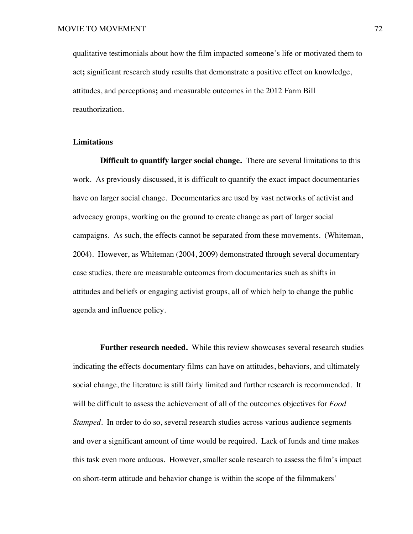qualitative testimonials about how the film impacted someone's life or motivated them to act**;** significant research study results that demonstrate a positive effect on knowledge, attitudes, and perceptions**;** and measurable outcomes in the 2012 Farm Bill reauthorization.

### **Limitations**

**Difficult to quantify larger social change.** There are several limitations to this work. As previously discussed, it is difficult to quantify the exact impact documentaries have on larger social change. Documentaries are used by vast networks of activist and advocacy groups, working on the ground to create change as part of larger social campaigns. As such, the effects cannot be separated from these movements. (Whiteman, 2004). However, as Whiteman (2004, 2009) demonstrated through several documentary case studies, there are measurable outcomes from documentaries such as shifts in attitudes and beliefs or engaging activist groups, all of which help to change the public agenda and influence policy.

**Further research needed.** While this review showcases several research studies indicating the effects documentary films can have on attitudes, behaviors, and ultimately social change, the literature is still fairly limited and further research is recommended. It will be difficult to assess the achievement of all of the outcomes objectives for *Food Stamped.* In order to do so, several research studies across various audience segments and over a significant amount of time would be required. Lack of funds and time makes this task even more arduous. However, smaller scale research to assess the film's impact on short-term attitude and behavior change is within the scope of the filmmakers'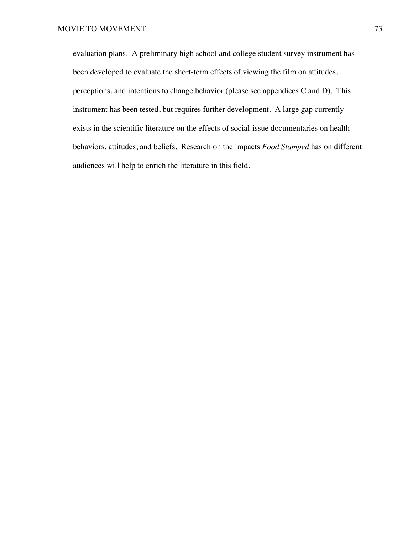evaluation plans. A preliminary high school and college student survey instrument has been developed to evaluate the short-term effects of viewing the film on attitudes, perceptions, and intentions to change behavior (please see appendices C and D). This instrument has been tested, but requires further development. A large gap currently exists in the scientific literature on the effects of social-issue documentaries on health behaviors, attitudes, and beliefs. Research on the impacts *Food Stamped* has on different audiences will help to enrich the literature in this field.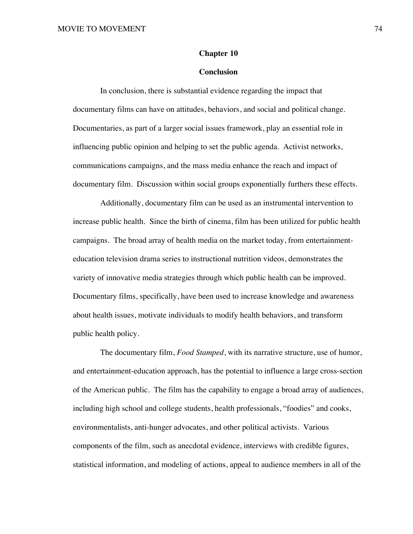### **Chapter 10**

### **Conclusion**

In conclusion, there is substantial evidence regarding the impact that documentary films can have on attitudes, behaviors, and social and political change. Documentaries, as part of a larger social issues framework, play an essential role in influencing public opinion and helping to set the public agenda. Activist networks, communications campaigns, and the mass media enhance the reach and impact of documentary film. Discussion within social groups exponentially furthers these effects.

Additionally, documentary film can be used as an instrumental intervention to increase public health. Since the birth of cinema, film has been utilized for public health campaigns. The broad array of health media on the market today, from entertainmenteducation television drama series to instructional nutrition videos, demonstrates the variety of innovative media strategies through which public health can be improved. Documentary films, specifically, have been used to increase knowledge and awareness about health issues, motivate individuals to modify health behaviors, and transform public health policy.

The documentary film, *Food Stamped*, with its narrative structure, use of humor, and entertainment-education approach, has the potential to influence a large cross-section of the American public. The film has the capability to engage a broad array of audiences, including high school and college students, health professionals, "foodies" and cooks, environmentalists, anti-hunger advocates, and other political activists. Various components of the film, such as anecdotal evidence, interviews with credible figures, statistical information, and modeling of actions, appeal to audience members in all of the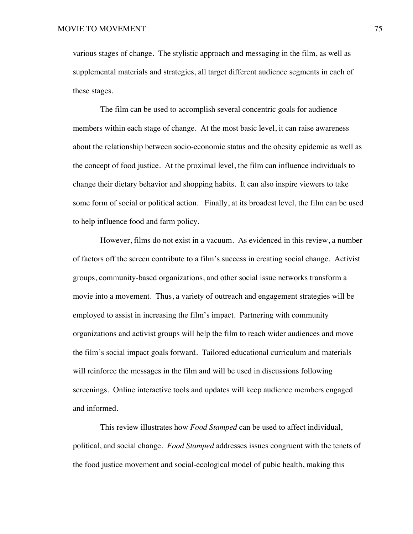various stages of change. The stylistic approach and messaging in the film, as well as supplemental materials and strategies, all target different audience segments in each of these stages.

The film can be used to accomplish several concentric goals for audience members within each stage of change. At the most basic level, it can raise awareness about the relationship between socio-economic status and the obesity epidemic as well as the concept of food justice. At the proximal level, the film can influence individuals to change their dietary behavior and shopping habits. It can also inspire viewers to take some form of social or political action. Finally, at its broadest level, the film can be used to help influence food and farm policy.

However, films do not exist in a vacuum. As evidenced in this review, a number of factors off the screen contribute to a film's success in creating social change. Activist groups, community-based organizations, and other social issue networks transform a movie into a movement. Thus, a variety of outreach and engagement strategies will be employed to assist in increasing the film's impact. Partnering with community organizations and activist groups will help the film to reach wider audiences and move the film's social impact goals forward. Tailored educational curriculum and materials will reinforce the messages in the film and will be used in discussions following screenings. Online interactive tools and updates will keep audience members engaged and informed.

This review illustrates how *Food Stamped* can be used to affect individual, political, and social change. *Food Stamped* addresses issues congruent with the tenets of the food justice movement and social-ecological model of pubic health, making this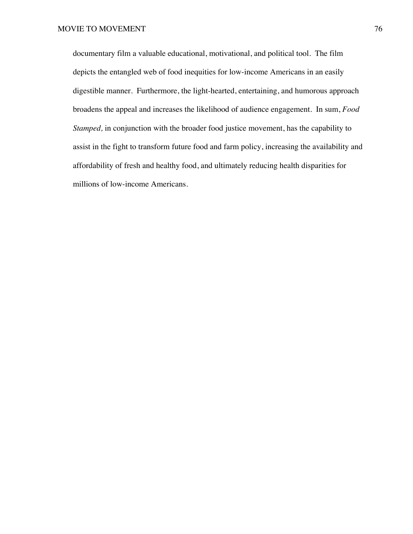documentary film a valuable educational, motivational, and political tool. The film depicts the entangled web of food inequities for low-income Americans in an easily digestible manner. Furthermore, the light-hearted, entertaining, and humorous approach broadens the appeal and increases the likelihood of audience engagement. In sum, *Food Stamped*, in conjunction with the broader food justice movement, has the capability to assist in the fight to transform future food and farm policy, increasing the availability and affordability of fresh and healthy food, and ultimately reducing health disparities for millions of low-income Americans.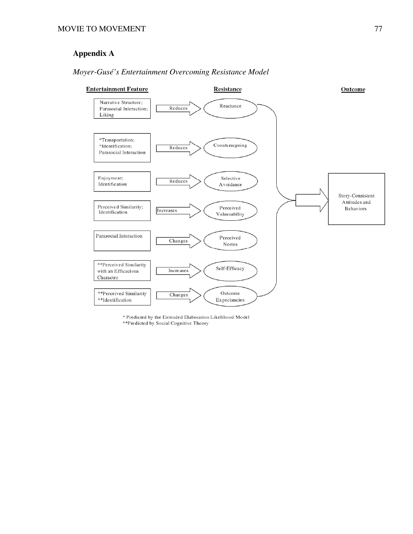# **Appendix A**



## *Moyer-Gusé's Entertainment Overcoming Resistance Model*

\* Predicted by the Extended Elaboration Likelihood Model

\*\*Predicted by Social Cognitive Theory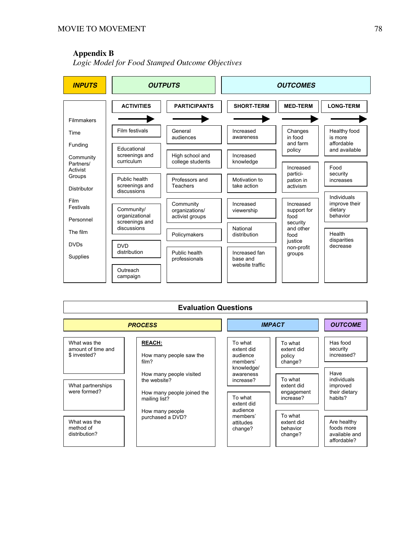## **Appendix B**

*Logic Model for Food Stamped Outcome Objectives*



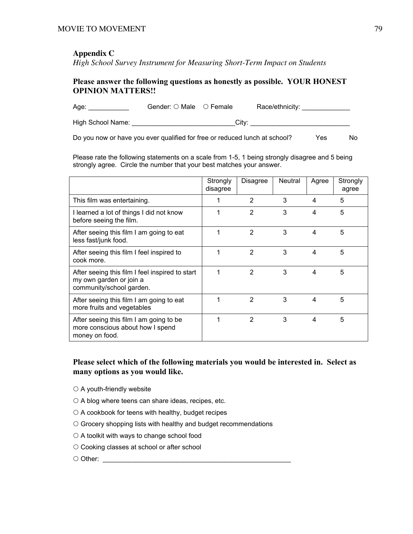## **Appendix C**

*High School Survey Instrument for Measuring Short-Term Impact on Students*

## Please answer the following questions as honestly as possible. YOUR HONEST OPINION MATTERS!!

Age: \_\_\_\_\_\_\_\_\_\_\_\_\_\_ Gender: O Male O Female Race/ethnicity: \_\_\_\_\_\_\_\_\_\_\_\_\_\_ High School Name: \_\_\_\_\_\_\_\_\_\_\_\_\_\_\_\_\_\_\_\_\_\_\_\_\_\_\_\_\_\_City: \_\_\_\_\_\_\_\_\_\_\_\_\_\_\_\_\_\_\_\_\_\_\_\_\_\_

Do you now or have you ever qualified for free or reduced lunch at school? Yes No

Please rate the following statements on a scale from 1-5, 1 being strongly disagree and 5 being strongly agree. Circle the number that your best matches your answer.

|                                                                                                        | Strongly<br>disagree | Disagree      | Neutral | Agree | Strongly<br>agree |
|--------------------------------------------------------------------------------------------------------|----------------------|---------------|---------|-------|-------------------|
| This film was entertaining.                                                                            |                      | 2             | 3       | 4     | 5                 |
| I learned a lot of things I did not know<br>before seeing the film.                                    | 1                    | 2             | 3       | 4     | 5                 |
| After seeing this film I am going to eat<br>less fast/junk food.                                       | 1                    | 2             | 3       | 4     | 5                 |
| After seeing this film I feel inspired to<br>cook more.                                                | 1                    | 2             | 3       | 4     | 5                 |
| After seeing this film I feel inspired to start<br>my own garden or join a<br>community/school garden. |                      | $\mathcal{P}$ | 3       | 4     | 5                 |
| After seeing this film I am going to eat<br>more fruits and vegetables                                 |                      | $\mathcal{P}$ | 3       | 4     | 5                 |
| After seeing this film I am going to be<br>more conscious about how I spend<br>money on food.          |                      | 2             | 3       | 4     | 5                 |

## Please select which of the following materials you would be interested in. Select as many options as you would like.

- $\circ$  A youth-friendly website
- $\circ$  A blog where teens can share ideas, recipes, etc.
- $\circ$  A cookbook for teens with healthy, budget recipes
- $\circ$  Grocery shopping lists with healthy and budget recommendations
- $\circ$  A toolkit with ways to change school food
- $\circ$  Cooking classes at school or after school
- Other: \_\_\_\_\_\_\_\_\_\_\_\_\_\_\_\_\_\_\_\_\_\_\_\_\_\_\_\_\_\_\_\_\_\_\_\_\_\_\_\_\_\_\_\_\_\_\_\_\_\_\_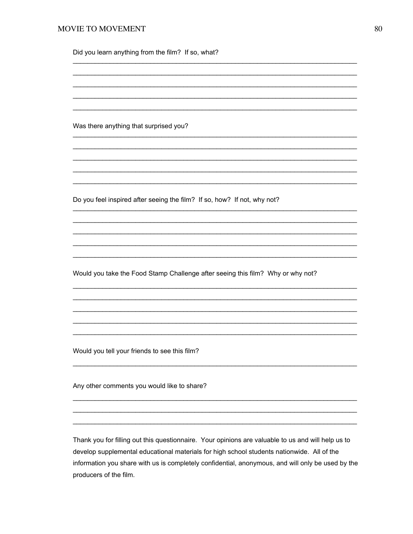### MOVIE TO MOVEMENT

Did you learn anything from the film? If so, what?

Was there anything that surprised you?

Do you feel inspired after seeing the film? If so, how? If not, why not?

Would you take the Food Stamp Challenge after seeing this film? Why or why not?

Would you tell your friends to see this film?

Any other comments you would like to share?

Thank you for filling out this questionnaire. Your opinions are valuable to us and will help us to develop supplemental educational materials for high school students nationwide. All of the information you share with us is completely confidential, anonymous, and will only be used by the producers of the film.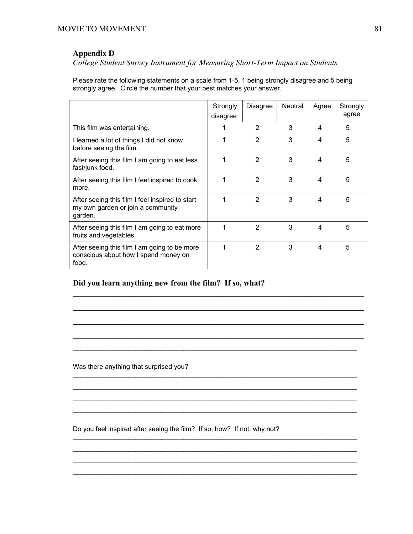## **Appendix D**

*College Student Survey Instrument for Measuring Short-Term Impact on Students*

Please rate the following statements on a scale from 1-5, 1 being strongly disagree and 5 being strongly agree. Circle the number that your best matches your answer.

|                                                                                                 | Strongly<br>disagree | <b>Disagree</b> | <b>Neutral</b> | Agree | Strongly<br>agree |
|-------------------------------------------------------------------------------------------------|----------------------|-----------------|----------------|-------|-------------------|
| This film was entertaining.                                                                     |                      | 2               | 3              | 4     | 5                 |
| I learned a lot of things I did not know<br>before seeing the film.                             | 1                    | 2               | 3              | 4     | 5                 |
| After seeing this film I am going to eat less<br>fast/junk food.                                | 1                    | $\mathcal{P}$   | 3              | 4     | 5                 |
| After seeing this film I feel inspired to cook<br>more.                                         | 1                    | 2               | 3              | 4     | 5                 |
| After seeing this film I feel inspired to start<br>my own garden or join a community<br>garden. | 1                    | 2               | 3              | 4     | 5                 |
| After seeing this film I am going to eat more<br>fruits and vegetables                          | 1                    | $\mathfrak{p}$  | 3              | 4     | 5                 |
| After seeing this film I am going to be more<br>conscious about how I spend money on<br>food.   | 1                    | $\mathfrak{p}$  | 3              | 4     | 5                 |

 $\mathcal{L}_\text{max} = \mathcal{L}_\text{max} = \mathcal{L}_\text{max} = \mathcal{L}_\text{max} = \mathcal{L}_\text{max} = \mathcal{L}_\text{max} = \mathcal{L}_\text{max} = \mathcal{L}_\text{max} = \mathcal{L}_\text{max} = \mathcal{L}_\text{max} = \mathcal{L}_\text{max} = \mathcal{L}_\text{max} = \mathcal{L}_\text{max} = \mathcal{L}_\text{max} = \mathcal{L}_\text{max} = \mathcal{L}_\text{max} = \mathcal{L}_\text{max} = \mathcal{L}_\text{max} = \mathcal{$ 

 $\mathcal{L}_\text{max} = \mathcal{L}_\text{max} = \mathcal{L}_\text{max} = \mathcal{L}_\text{max} = \mathcal{L}_\text{max} = \mathcal{L}_\text{max} = \mathcal{L}_\text{max} = \mathcal{L}_\text{max} = \mathcal{L}_\text{max} = \mathcal{L}_\text{max} = \mathcal{L}_\text{max} = \mathcal{L}_\text{max} = \mathcal{L}_\text{max} = \mathcal{L}_\text{max} = \mathcal{L}_\text{max} = \mathcal{L}_\text{max} = \mathcal{L}_\text{max} = \mathcal{L}_\text{max} = \mathcal{$ 

 $\mathcal{L}_\text{max} = \mathcal{L}_\text{max} = \mathcal{L}_\text{max} = \mathcal{L}_\text{max} = \mathcal{L}_\text{max} = \mathcal{L}_\text{max} = \mathcal{L}_\text{max} = \mathcal{L}_\text{max} = \mathcal{L}_\text{max} = \mathcal{L}_\text{max} = \mathcal{L}_\text{max} = \mathcal{L}_\text{max} = \mathcal{L}_\text{max} = \mathcal{L}_\text{max} = \mathcal{L}_\text{max} = \mathcal{L}_\text{max} = \mathcal{L}_\text{max} = \mathcal{L}_\text{max} = \mathcal{$ 

 $\mathcal{L}_\text{max} = \mathcal{L}_\text{max} = \mathcal{L}_\text{max} = \mathcal{L}_\text{max} = \mathcal{L}_\text{max} = \mathcal{L}_\text{max} = \mathcal{L}_\text{max} = \mathcal{L}_\text{max} = \mathcal{L}_\text{max} = \mathcal{L}_\text{max} = \mathcal{L}_\text{max} = \mathcal{L}_\text{max} = \mathcal{L}_\text{max} = \mathcal{L}_\text{max} = \mathcal{L}_\text{max} = \mathcal{L}_\text{max} = \mathcal{L}_\text{max} = \mathcal{L}_\text{max} = \mathcal{$ 

 $\mathcal{L}_\text{max}$  , and the set of the set of the set of the set of the set of the set of the set of the set of the set of the set of the set of the set of the set of the set of the set of the set of the set of the set of the

 $\mathcal{L}_\mathcal{L} = \{ \mathcal{L}_\mathcal{L} = \{ \mathcal{L}_\mathcal{L} = \{ \mathcal{L}_\mathcal{L} = \{ \mathcal{L}_\mathcal{L} = \{ \mathcal{L}_\mathcal{L} = \{ \mathcal{L}_\mathcal{L} = \{ \mathcal{L}_\mathcal{L} = \{ \mathcal{L}_\mathcal{L} = \{ \mathcal{L}_\mathcal{L} = \{ \mathcal{L}_\mathcal{L} = \{ \mathcal{L}_\mathcal{L} = \{ \mathcal{L}_\mathcal{L} = \{ \mathcal{L}_\mathcal{L} = \{ \mathcal{L}_\mathcal{$  $\mathcal{L}_\text{max}$  , and the set of the set of the set of the set of the set of the set of the set of the set of the set of the set of the set of the set of the set of the set of the set of the set of the set of the set of the  $\mathcal{L}_\text{max}$  , and the set of the set of the set of the set of the set of the set of the set of the set of the set of the set of the set of the set of the set of the set of the set of the set of the set of the set of the  $\mathcal{L}_\text{max}$  , and the set of the set of the set of the set of the set of the set of the set of the set of the set of the set of the set of the set of the set of the set of the set of the set of the set of the set of the

 $\mathcal{L}_\text{max}$  , and the set of the set of the set of the set of the set of the set of the set of the set of the set of the set of the set of the set of the set of the set of the set of the set of the set of the set of the  $\mathcal{L}_\text{max} = \frac{1}{2} \sum_{i=1}^{n} \frac{1}{2} \sum_{i=1}^{n} \frac{1}{2} \sum_{i=1}^{n} \frac{1}{2} \sum_{i=1}^{n} \frac{1}{2} \sum_{i=1}^{n} \frac{1}{2} \sum_{i=1}^{n} \frac{1}{2} \sum_{i=1}^{n} \frac{1}{2} \sum_{i=1}^{n} \frac{1}{2} \sum_{i=1}^{n} \frac{1}{2} \sum_{i=1}^{n} \frac{1}{2} \sum_{i=1}^{n} \frac{1}{2} \sum_{i=1}^{n} \frac{1$  $\mathcal{L}_\text{max}$  , and the set of the set of the set of the set of the set of the set of the set of the set of the set of the set of the set of the set of the set of the set of the set of the set of the set of the set of the  $\mathcal{L}_\text{max}$  , and the set of the set of the set of the set of the set of the set of the set of the set of the set of the set of the set of the set of the set of the set of the set of the set of the set of the set of the

## Did you learn anything new from the film? If so, what?

Was there anything that surprised you?

Do you feel inspired after seeing the film? If so, how? If not, why not?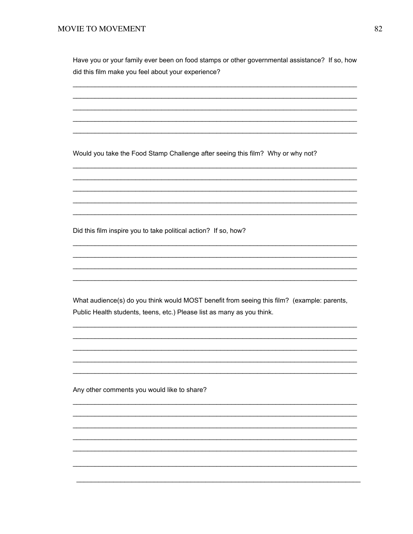Have you or your family ever been on food stamps or other governmental assistance? If so, how did this film make you feel about your experience?

Would you take the Food Stamp Challenge after seeing this film? Why or why not?

Did this film inspire you to take political action? If so, how?

What audience(s) do you think would MOST benefit from seeing this film? (example: parents, Public Health students, teens, etc.) Please list as many as you think.

Any other comments you would like to share?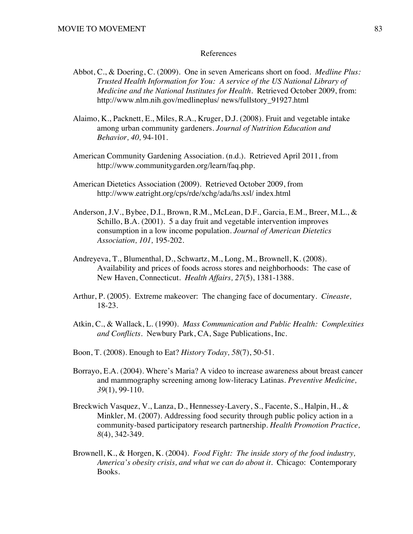### References

- Abbot, C., & Doering, C. (2009). One in seven Americans short on food. *Medline Plus: Trusted Health Information for You: A service of the US National Library of Medicine and the National Institutes for Health.* Retrieved October 2009, from: http://www.nlm.nih.gov/medlineplus/ news/fullstory\_91927.html
- Alaimo, K., Packnett, E., Miles, R.A., Kruger, D.J. (2008). Fruit and vegetable intake among urban community gardeners. *Journal of Nutrition Education and Behavior, 40,* 94-101.
- American Community Gardening Association. (n.d.). Retrieved April 2011, from http://www.communitygarden.org/learn/faq.php.
- American Dietetics Association (2009). Retrieved October 2009, from http://www.eatright.org/cps/rde/xchg/ada/hs.xsl/ index.html
- Anderson, J.V., Bybee, D.I., Brown, R.M., McLean, D.F., Garcia, E.M., Breer, M.L., & Schillo, B.A. (2001). 5 a day fruit and vegetable intervention improves consumption in a low income population. *Journal of American Dietetics Association, 101,* 195-202.
- Andreyeva, T., Blumenthal, D., Schwartz, M., Long, M., Brownell, K. (2008). Availability and prices of foods across stores and neighborhoods: The case of New Haven, Connecticut. *Health Affairs, 27*(5), 1381-1388.
- Arthur, P. (2005). Extreme makeover: The changing face of documentary. *Cineaste,* 18-23.
- Atkin, C., & Wallack, L. (1990). *Mass Communication and Public Health: Complexities and Conflicts.* Newbury Park, CA, Sage Publications, Inc.
- Boon, T. (2008). Enough to Eat? *History Today, 58*(7), 50-51.
- Borrayo, E.A. (2004). Where's Maria? A video to increase awareness about breast cancer and mammography screening among low-literacy Latinas. *Preventive Medicine, 39*(1), 99-110.
- Breckwich Vasquez, V., Lanza, D., Hennessey-Lavery, S., Facente, S., Halpin, H., & Minkler, M. (2007). Addressing food security through public policy action in a community-based participatory research partnership. *Health Promotion Practice, 8*(4), 342-349.
- Brownell, K., & Horgen, K. (2004). *Food Fight: The inside story of the food industry, America's obesity crisis, and what we can do about it.* Chicago: Contemporary Books.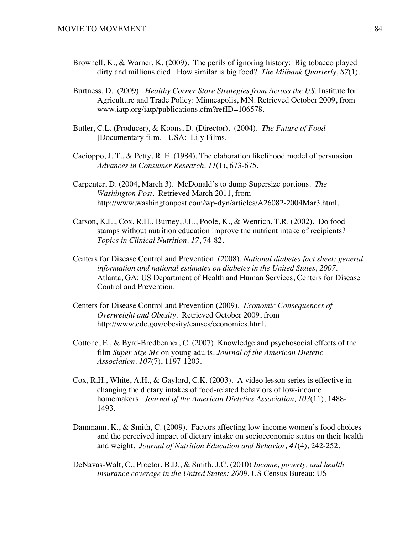- Brownell, K., & Warner, K. (2009). The perils of ignoring history: Big tobacco played dirty and millions died. How similar is big food? *The Milbank Quarterly*, *87*(1).
- Burtness, D. (2009). *Healthy Corner Store Strategies from Across the US.* Institute for Agriculture and Trade Policy: Minneapolis, MN. Retrieved October 2009, from www.iatp.org/iatp/publications.cfm?refID=106578.
- Butler, C.L. (Producer), & Koons, D. (Director). (2004). *The Future of Food* [Documentary film.] USA: Lily Films.
- Cacioppo, J. T., & Petty, R. E. (1984). The elaboration likelihood model of persuasion. *Advances in Consumer Research, 11*(1), 673-675.
- Carpenter, D. (2004, March 3). McDonald's to dump Supersize portions. *The Washington Post*. Retrieved March 2011, from http://www.washingtonpost.com/wp-dyn/articles/A26082-2004Mar3.html.
- Carson, K.L., Cox, R.H., Burney, J.L., Poole, K., & Wenrich, T.R. (2002). Do food stamps without nutrition education improve the nutrient intake of recipients? *Topics in Clinical Nutrition, 17*, 74-82.
- Centers for Disease Control and Prevention. (2008). *National diabetes fact sheet: general information and national estimates on diabetes in the United States, 2007*. Atlanta, GA: US Department of Health and Human Services, Centers for Disease Control and Prevention.
- Centers for Disease Control and Prevention (2009). *Economic Consequences of Overweight and Obesity.* Retrieved October 2009, from http://www.cdc.gov/obesity/causes/economics.html.
- Cottone, E., & Byrd-Bredbenner, C. (2007). Knowledge and psychosocial effects of the film *Super Size Me* on young adults. *Journal of the American Dietetic Association, 107*(7), 1197-1203.
- Cox, R.H., White, A.H., & Gaylord, C.K. (2003). A video lesson series is effective in changing the dietary intakes of food-related behaviors of low-income homemakers. *Journal of the American Dietetics Association, 103*(11), 1488- 1493.
- Dammann, K., & Smith, C. (2009). Factors affecting low-income women's food choices and the perceived impact of dietary intake on socioeconomic status on their health and weight. *Journal of Nutrition Education and Behavior, 41*(4), 242-252.
- DeNavas-Walt, C., Proctor, B.D., & Smith, J.C. (2010) *Income, poverty, and health insurance coverage in the United States: 2009.* US Census Bureau: US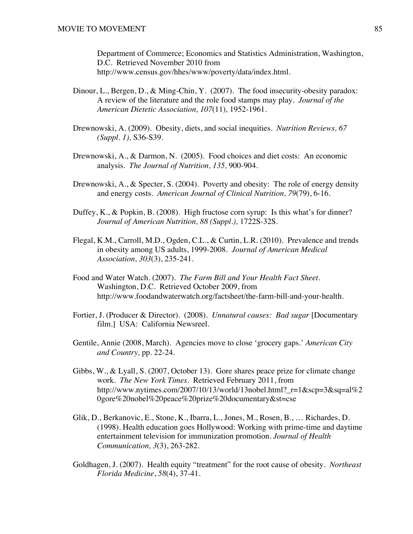Department of Commerce; Economics and Statistics Administration, Washington, D.C. Retrieved November 2010 from http://www.census.gov/hhes/www/poverty/data/index.html.

- Dinour, L., Bergen, D., & Ming-Chin, Y. (2007). The food insecurity-obesity paradox: A review of the literature and the role food stamps may play. *Journal of the American Dietetic Association, 107*(11)*,* 1952-1961.
- Drewnowski, A. (2009). Obesity, diets, and social inequities. *Nutrition Reviews, 67 (Suppl. 1),* S36-S39.
- Drewnowski, A., & Darmon, N. (2005). Food choices and diet costs: An economic analysis. *The Journal of Nutrition, 135,* 900-904*.*
- Drewnowski, A., & Specter, S. (2004). Poverty and obesity: The role of energy density and energy costs. *American Journal of Clinical Nutrition, 79*(79), 6-16.
- Duffey, K., & Popkin, B. (2008). High fructose corn syrup: Is this what's for dinner? *Journal of American Nutrition, 88 (Suppl.),* 1722S-32S.
- Flegal, K.M., Carroll, M.D., Ogden, C.L., & Curtin, L.R. (2010). Prevalence and trends in obesity among US adults, 1999-2008. *Journal of American Medical Association, 303*(3), 235-241.
- Food and Water Watch. (2007). *The Farm Bill and Your Health Fact Sheet.* Washington, D.C. Retrieved October 2009, from http://www.foodandwaterwatch.org/factsheet/the-farm-bill-and-your-health.
- Fortier, J. (Producer & Director). (2008). *Unnatural causes: Bad sugar* [Documentary film.] USA: California Newsreel.
- Gentile, Annie (2008, March). Agencies move to close 'grocery gaps.' *American City and Country,* pp. 22-24.
- Gibbs, W., & Lyall, S. (2007, October 13). Gore shares peace prize for climate change work. *The New York Times.* Retrieved February 2011, from http://www.nytimes.com/2007/10/13/world/13nobel.html? $r=1$ &scp=3&sq=al%2 0gore%20nobel%20peace%20prize%20documentary&st=cse
- Glik, D., Berkanovic, E., Stone, K., Ibarra, L., Jones, M., Rosen, B., … Richardes, D. (1998). Health education goes Hollywood: Working with prime-time and daytime entertainment television for immunization promotion. *Journal of Health Communication, 3*(3), 263-282.
- Goldhagen, J. (2007). Health equity "treatment" for the root cause of obesity. *Northeast Florida Medicine*, *58*(4), 37-41.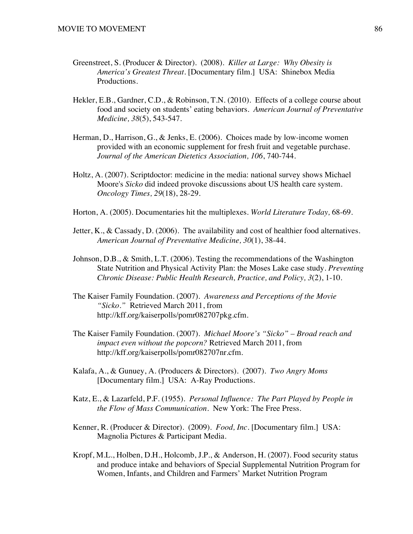- Greenstreet, S. (Producer & Director). (2008). *Killer at Large: Why Obesity is America's Greatest Threat.* [Documentary film.] USA: Shinebox Media Productions.
- Hekler, E.B., Gardner, C.D., & Robinson, T.N. (2010). Effects of a college course about food and society on students' eating behaviors. *American Journal of Preventative Medicine, 38*(5), 543-547.
- Herman, D., Harrison, G., & Jenks, E. (2006). Choices made by low-income women provided with an economic supplement for fresh fruit and vegetable purchase. *Journal of the American Dietetics Association, 106*, 740-744.
- Holtz, A. (2007). Scriptdoctor: medicine in the media: national survey shows Michael Moore's *Sicko* did indeed provoke discussions about US health care system. *Oncology Times, 29*(18), 28-29.
- Horton, A. (2005). Documentaries hit the multiplexes. *World Literature Today,* 68-69.
- Jetter, K., & Cassady, D. (2006). The availability and cost of healthier food alternatives. *American Journal of Preventative Medicine, 30*(1), 38-44.
- Johnson, D.B., & Smith, L.T. (2006). Testing the recommendations of the Washington State Nutrition and Physical Activity Plan: the Moses Lake case study. *Preventing Chronic Disease: Public Health Research, Practice, and Policy, 3*(2), 1-10.
- The Kaiser Family Foundation. (2007). *Awareness and Perceptions of the Movie "Sicko."* Retrieved March 2011, from http://kff.org/kaiserpolls/pomr082707pkg.cfm.
- The Kaiser Family Foundation. (2007). *Michael Moore's "Sicko" Broad reach and impact even without the popcorn?* Retrieved March 2011, from http://kff.org/kaiserpolls/pomr082707nr.cfm.
- Kalafa, A., & Gunuey, A. (Producers & Directors). (2007). *Two Angry Moms* [Documentary film.] USA: A-Ray Productions.
- Katz, E., & Lazarfeld, P.F. (1955). *Personal Influence: The Part Played by People in the Flow of Mass Communication.* New York: The Free Press.
- Kenner, R. (Producer & Director). (2009). *Food, Inc.* [Documentary film.] USA: Magnolia Pictures & Participant Media.
- Kropf, M.L., Holben, D.H., Holcomb, J.P., & Anderson, H. (2007). Food security status and produce intake and behaviors of Special Supplemental Nutrition Program for Women, Infants, and Children and Farmers' Market Nutrition Program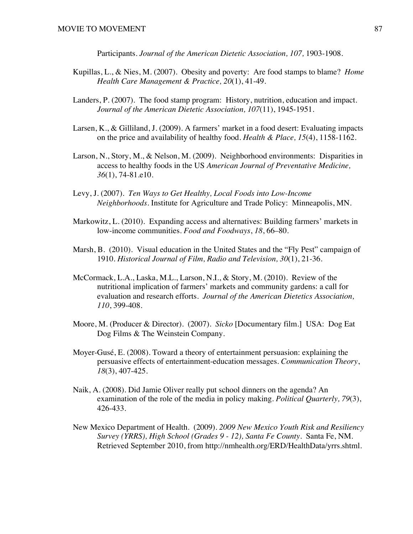Participants. *Journal of the American Dietetic Association, 107, 1903-1908.* 

- Kupillas, L., & Nies, M. (2007). Obesity and poverty: Are food stamps to blame? *Home Health Care Management & Practice, 20*(1), 41-49.
- Landers, P. (2007). The food stamp program: History, nutrition, education and impact. *Journal of the American Dietetic Association, 107*(11), 1945-1951*.*
- Larsen, K., & Gilliland, J. (2009). A farmers' market in a food desert: Evaluating impacts on the price and availability of healthy food. *Health & Place, 15*(4), 1158-1162.
- Larson, N., Story, M., & Nelson, M. (2009). Neighborhood environments: Disparities in access to healthy foods in the US *American Journal of Preventative Medicine, 36*(1), 74-81.e10.
- Levy, J. (2007). *Ten Ways to Get Healthy, Local Foods into Low-Income Neighborhoods.* Institute for Agriculture and Trade Policy: Minneapolis, MN.
- Markowitz, L. (2010). Expanding access and alternatives: Building farmers' markets in low-income communities. *Food and Foodways*, *18*, 66–80.
- Marsh, B. (2010). Visual education in the United States and the "Fly Pest" campaign of 1910. *Historical Journal of Film, Radio and Television, 30*(1), 21-36.
- McCormack, L.A., Laska, M.L., Larson, N.I., & Story, M. (2010). Review of the nutritional implication of farmers' markets and community gardens: a call for evaluation and research efforts. *Journal of the American Dietetics Association, 110*, 399-408.
- Moore, M. (Producer & Director). (2007). *Sicko* [Documentary film.] USA: Dog Eat Dog Films & The Weinstein Company.
- Moyer-Gusé, E. (2008). Toward a theory of entertainment persuasion: explaining the persuasive effects of entertainment-education messages. *Communication Theory*, *18*(3), 407-425.
- Naik, A. (2008). Did Jamie Oliver really put school dinners on the agenda? An examination of the role of the media in policy making. *Political Quarterly, 79*(3), 426-433.
- New Mexico Department of Health. (2009). *2009 New Mexico Youth Risk and Resiliency Survey (YRRS), High School (Grades 9 - 12), Santa Fe County*. Santa Fe, NM. Retrieved September 2010, from http://nmhealth.org/ERD/HealthData/yrrs.shtml.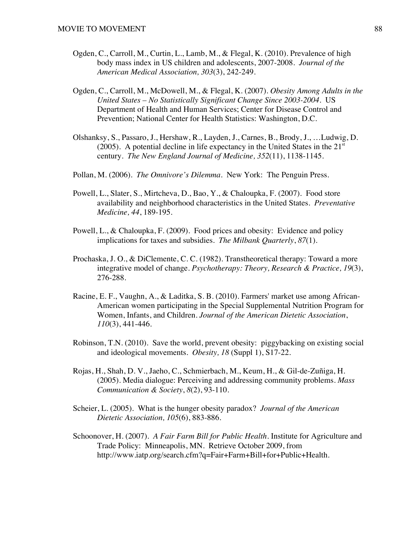- Ogden, C., Carroll, M., Curtin, L., Lamb, M., & Flegal, K. (2010). Prevalence of high body mass index in US children and adolescents, 2007-2008. *Journal of the American Medical Association, 303*(3), 242-249.
- Ogden, C., Carroll, M., McDowell, M., & Flegal, K. (2007). *Obesity Among Adults in the United States – No Statistically Significant Change Since 2003-2004.* US Department of Health and Human Services; Center for Disease Control and Prevention; National Center for Health Statistics: Washington, D.C.
- Olshanksy, S., Passaro, J., Hershaw, R., Layden, J., Carnes, B., Brody, J., …Ludwig, D. (2005). A potential decline in life expectancy in the United States in the  $21<sup>st</sup>$ century. *The New England Journal of Medicine, 352*(11), 1138-1145.
- Pollan, M. (2006). *The Omnivore's Dilemma.* New York: The Penguin Press.
- Powell, L., Slater, S., Mirtcheva, D., Bao, Y., & Chaloupka, F. (2007). Food store availability and neighborhood characteristics in the United States. *Preventative Medicine, 44*, 189-195.
- Powell, L., & Chaloupka, F. (2009). Food prices and obesity: Evidence and policy implications for taxes and subsidies. *The Milbank Quarterly*, *87*(1)*.*
- Prochaska, J. O., & DiClemente, C. C. (1982). Transtheoretical therapy: Toward a more integrative model of change. *Psychotherapy: Theory, Research & Practice, 19*(3), 276-288.
- Racine, E. F., Vaughn, A., & Laditka, S. B. (2010). Farmers' market use among African-American women participating in the Special Supplemental Nutrition Program for Women, Infants, and Children. *Journal of the American Dietetic Association*, *110*(3), 441-446.
- Robinson, T.N. (2010). Save the world, prevent obesity: piggybacking on existing social and ideological movements. *Obesity, 18* (Suppl 1), S17-22.
- Rojas, H., Shah, D. V., Jaeho, C., Schmierbach, M., Keum, H., & Gil-de-Zuñiga, H. (2005). Media dialogue: Perceiving and addressing community problems. *Mass Communication & Society*, *8*(2), 93-110.
- Scheier, L. (2005). What is the hunger obesity paradox? *Journal of the American Dietetic Association, 105*(6), 883-886.
- Schoonover, H. (2007). *A Fair Farm Bill for Public Health.* Institute for Agriculture and Trade Policy: Minneapolis, MN. Retrieve October 2009, from http://www.iatp.org/search.cfm?q=Fair+Farm+Bill+for+Public+Health.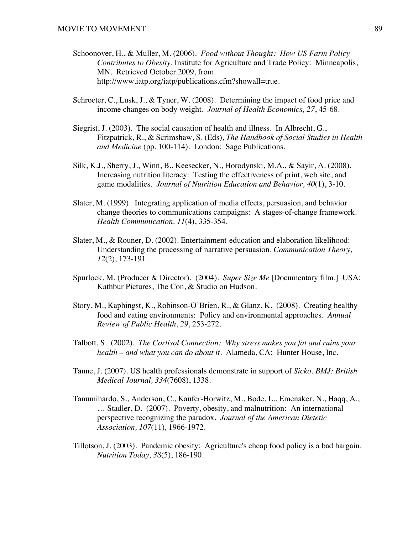- Schoonover, H., & Muller, M. (2006). *Food without Thought: How US Farm Policy Contributes to Obesity.* Institute for Agriculture and Trade Policy: Minneapolis, MN. Retrieved October 2009, from http://www.iatp.org/iatp/publications.cfm?showall=true.
- Schroeter, C., Lusk, J., & Tyner, W. (2008). Determining the impact of food price and income changes on body weight. *Journal of Health Economics, 27*, 45-68.
- Siegrist, J. (2003). The social causation of health and illness. In Albrecht, G., Fitzpatrick, R., & Scrimshaw, S. (Eds), *The Handbook of Social Studies in Health and Medicine* (pp. 100-114).London: Sage Publications.
- Silk, K.J., Sherry, J., Winn, B., Keesecker, N., Horodynski, M.A., & Sayir, A. (2008). Increasing nutrition literacy: Testing the effectiveness of print, web site, and game modalities. *Journal of Nutrition Education and Behavior, 40*(1), 3-10.
- Slater, M. (1999). Integrating application of media effects, persuasion, and behavior change theories to communications campaigns: A stages-of-change framework. *Health Communication, 11*(4), 335-354.
- Slater, M., & Rouner, D. (2002). Entertainment-education and elaboration likelihood: Understanding the processing of narrative persuasion. *Communication Theory, 12*(2), 173-191.
- Spurlock, M. (Producer & Director). (2004). *Super Size Me* [Documentary film.] USA: Kathbur Pictures, The Con, & Studio on Hudson.
- Story, M., Kaphingst, K., Robinson-O'Brien, R., & Glanz, K. (2008). Creating healthy food and eating environments: Policy and environmental approaches. *Annual Review of Public Health*, *29*, 253-272.
- Talbott, S. (2002). *The Cortisol Connection: Why stress makes you fat and ruins your health – and what you can do about it.* Alameda, CA: Hunter House, Inc.
- Tanne, J. (2007). US health professionals demonstrate in support of *Sicko*. *BMJ: British Medical Journal, 334*(7608), 1338.
- Tanumihardo, S., Anderson, C., Kaufer-Horwitz, M., Bode, L., Emenaker, N., Haqq, A., … Stadler, D. (2007). Poverty, obesity, and malnutrition: An international perspective recognizing the paradox. *Journal of the American Dietetic Association, 107*(11)*,* 1966-1972.
- Tillotson, J. (2003). Pandemic obesity: Agriculture's cheap food policy is a bad bargain. *Nutrition Today, 38*(5), 186-190.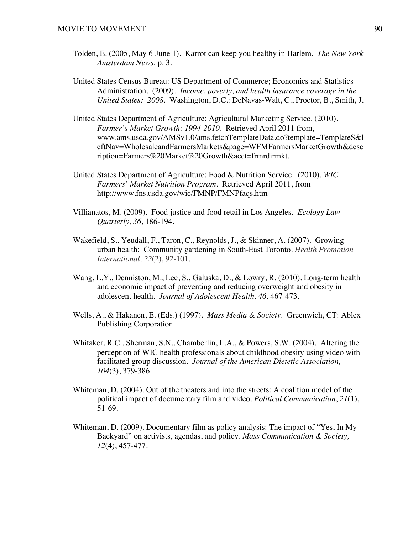- Tolden, E. (2005, May 6-June 1). Karrot can keep you healthy in Harlem. *The New York Amsterdam News,* p. 3.
- United States Census Bureau: US Department of Commerce; Economics and Statistics Administration. (2009). *Income, poverty, and health insurance coverage in the United States: 2008.* Washington, D.C.: DeNavas-Walt, C., Proctor, B., Smith, J.
- United States Department of Agriculture: Agricultural Marketing Service. (2010). *Farmer's Market Growth: 1994-2010.* Retrieved April 2011 from, www.ams.usda.gov/AMSv1.0/ams.fetchTemplateData.do?template=TemplateS&l eftNav=WholesaleandFarmersMarkets&page=WFMFarmersMarketGrowth&desc ription=Farmers%20Market%20Growth&acct=frmrdirmkt.
- United States Department of Agriculture: Food & Nutrition Service. (2010). *WIC Farmers' Market Nutrition Program*. Retrieved April 2011, from http://www.fns.usda.gov/wic/FMNP/FMNPfaqs.htm
- Villianatos, M. (2009). Food justice and food retail in Los Angeles. *Ecology Law Quarterly, 36*, 186-194.
- Wakefield, S., Yeudall, F., Taron, C., Reynolds, J., & Skinner, A. (2007). Growing urban health: Community gardening in South-East Toronto. *Health Promotion International, 22*(2), 92-101.
- Wang, L.Y., Denniston, M., Lee, S., Galuska, D., & Lowry, R. (2010). Long-term health and economic impact of preventing and reducing overweight and obesity in adolescent health. *Journal of Adolescent Health, 46,* 467-473.
- Wells, A., & Hakanen, E. (Eds.) (1997). *Mass Media & Society.* Greenwich, CT: Ablex Publishing Corporation.
- Whitaker, R.C., Sherman, S.N., Chamberlin, L.A., & Powers, S.W. (2004). Altering the perception of WIC health professionals about childhood obesity using video with facilitated group discussion. *Journal of the American Dietetic Association, 104*(3), 379-386.
- Whiteman, D. (2004). Out of the theaters and into the streets: A coalition model of the political impact of documentary film and video. *Political Communication*, *21*(1), 51-69.
- Whiteman, D. (2009). Documentary film as policy analysis: The impact of "Yes, In My Backyard" on activists, agendas, and policy. *Mass Communication & Society, 12*(4), 457-477.